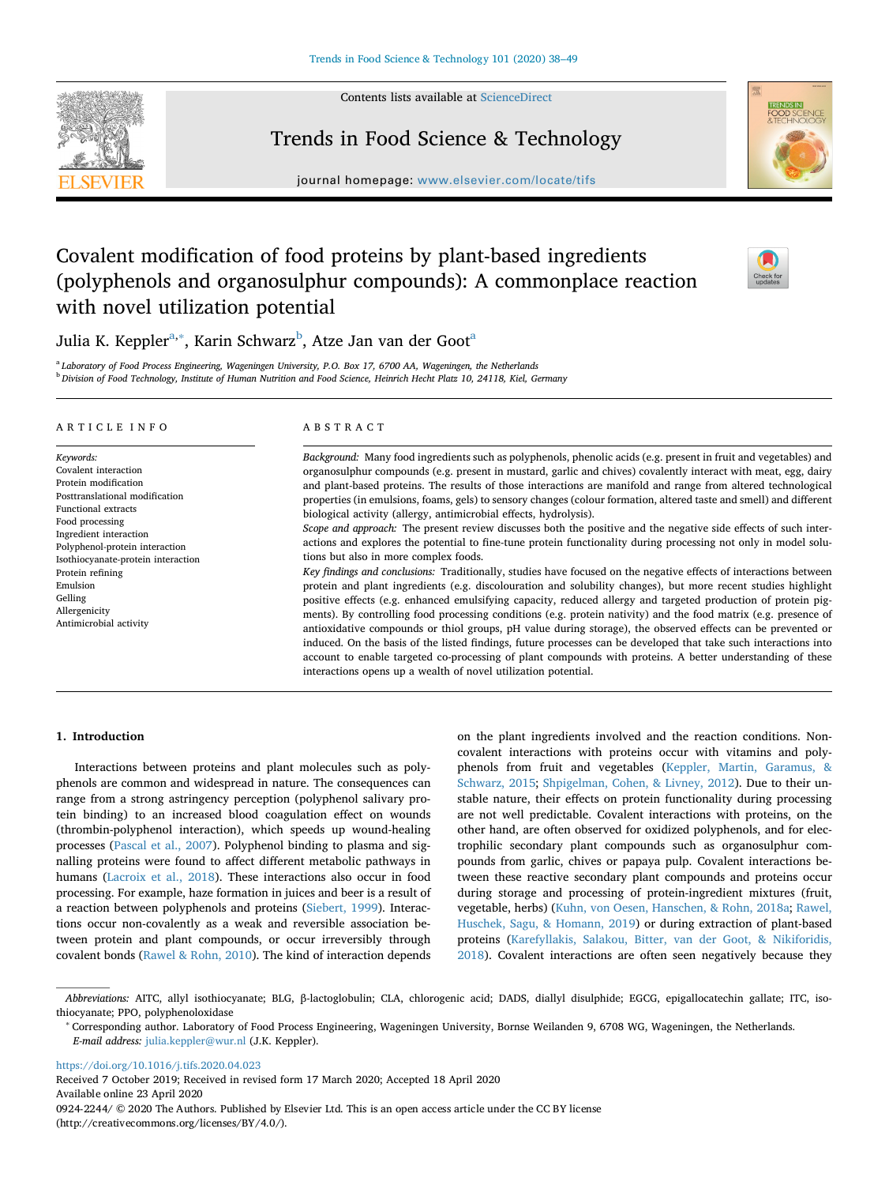Contents lists available at [ScienceDirect](http://www.sciencedirect.com/science/journal/09242244)



# Trends in Food Science & Technology

journal homepage: [www.elsevier.com/locate/tifs](https://www.elsevier.com/locate/tifs)



# Covalent modification of food proteins by plant-based ingredients (polyphenols and organosulphur compounds): A commonplace reaction with novel utilization potential



Juli[a](#page-0-0) K. Keppler<sup>a,[∗](#page-0-1)</sup>, Karin Schwarz<sup>[b](#page-0-2)</sup>, Atze Jan van der Goot<sup>a</sup>

<span id="page-0-2"></span><span id="page-0-0"></span><sup>a</sup> *Laboratory of Food Process Engineering, Wageningen University, P.O. Box 17, 6700 AA, Wageningen, the Netherlands* <sup>b</sup> *Division of Food Technology, Institute of Human Nutrition and Food Science, Heinrich Hecht Platz 10, 24118, Kiel, Germany*

#### ARTICLE INFO

*Keywords:* Covalent interaction Protein modification Posttranslational modification Functional extracts Food processing Ingredient interaction Polyphenol-protein interaction Isothiocyanate-protein interaction Protein refining Emulsion Gelling Allergenicity Antimicrobial activity

### ABSTRACT

*Background:* Many food ingredients such as polyphenols, phenolic acids (e.g. present in fruit and vegetables) and organosulphur compounds (e.g. present in mustard, garlic and chives) covalently interact with meat, egg, dairy and plant-based proteins. The results of those interactions are manifold and range from altered technological properties (in emulsions, foams, gels) to sensory changes (colour formation, altered taste and smell) and different biological activity (allergy, antimicrobial effects, hydrolysis).

*Scope and approach:* The present review discusses both the positive and the negative side effects of such interactions and explores the potential to fine-tune protein functionality during processing not only in model solutions but also in more complex foods.

*Key findings and conclusions:* Traditionally, studies have focused on the negative effects of interactions between protein and plant ingredients (e.g. discolouration and solubility changes), but more recent studies highlight positive effects (e.g. enhanced emulsifying capacity, reduced allergy and targeted production of protein pigments). By controlling food processing conditions (e.g. protein nativity) and the food matrix (e.g. presence of antioxidative compounds or thiol groups, pH value during storage), the observed effects can be prevented or induced. On the basis of the listed findings, future processes can be developed that take such interactions into account to enable targeted co-processing of plant compounds with proteins. A better understanding of these interactions opens up a wealth of novel utilization potential.

# **1. Introduction**

Interactions between proteins and plant molecules such as polyphenols are common and widespread in nature. The consequences can range from a strong astringency perception (polyphenol salivary protein binding) to an increased blood coagulation effect on wounds (thrombin-polyphenol interaction), which speeds up wound-healing processes [\(Pascal et al., 2007](#page-10-0)). Polyphenol binding to plasma and signalling proteins were found to affect different metabolic pathways in humans ([Lacroix et al., 2018\)](#page-9-0). These interactions also occur in food processing. For example, haze formation in juices and beer is a result of a reaction between polyphenols and proteins [\(Siebert, 1999](#page-10-1)). Interactions occur non-covalently as a weak and reversible association between protein and plant compounds, or occur irreversibly through covalent bonds ([Rawel & Rohn, 2010\)](#page-10-2). The kind of interaction depends on the plant ingredients involved and the reaction conditions. Noncovalent interactions with proteins occur with vitamins and polyphenols from fruit and vegetables ([Keppler, Martin, Garamus, &](#page-9-1) [Schwarz, 2015](#page-9-1); [Shpigelman, Cohen, & Livney, 2012](#page-10-3)). Due to their unstable nature, their effects on protein functionality during processing are not well predictable. Covalent interactions with proteins, on the other hand, are often observed for oxidized polyphenols, and for electrophilic secondary plant compounds such as organosulphur compounds from garlic, chives or papaya pulp. Covalent interactions between these reactive secondary plant compounds and proteins occur during storage and processing of protein-ingredient mixtures (fruit, vegetable, herbs) [\(Kuhn, von Oesen, Hanschen, & Rohn, 2018a](#page-9-2); [Rawel,](#page-10-4) [Huschek, Sagu, & Homann, 2019\)](#page-10-4) or during extraction of plant-based proteins ([Karefyllakis, Salakou, Bitter, van der Goot, & Nikiforidis,](#page-9-3) [2018\)](#page-9-3). Covalent interactions are often seen negatively because they

<https://doi.org/10.1016/j.tifs.2020.04.023>

Received 7 October 2019; Received in revised form 17 March 2020; Accepted 18 April 2020 Available online 23 April 2020 0924-2244/  $\odot$  2020 The Authors. Published by Elsevier Ltd. This is an open access article under the CC BY license (http://creativecommons.org/licenses/BY/4.0/).

*Abbreviations:* AITC, allyl isothiocyanate; BLG, β-lactoglobulin; CLA, chlorogenic acid; DADS, diallyl disulphide; EGCG, epigallocatechin gallate; ITC, isothiocyanate; PPO, polyphenoloxidase

<span id="page-0-1"></span><sup>∗</sup> Corresponding author. Laboratory of Food Process Engineering, Wageningen University, Bornse Weilanden 9, 6708 WG, Wageningen, the Netherlands. *E-mail address:* [julia.keppler@wur.nl](mailto:julia.keppler@wur.nl) (J.K. Keppler).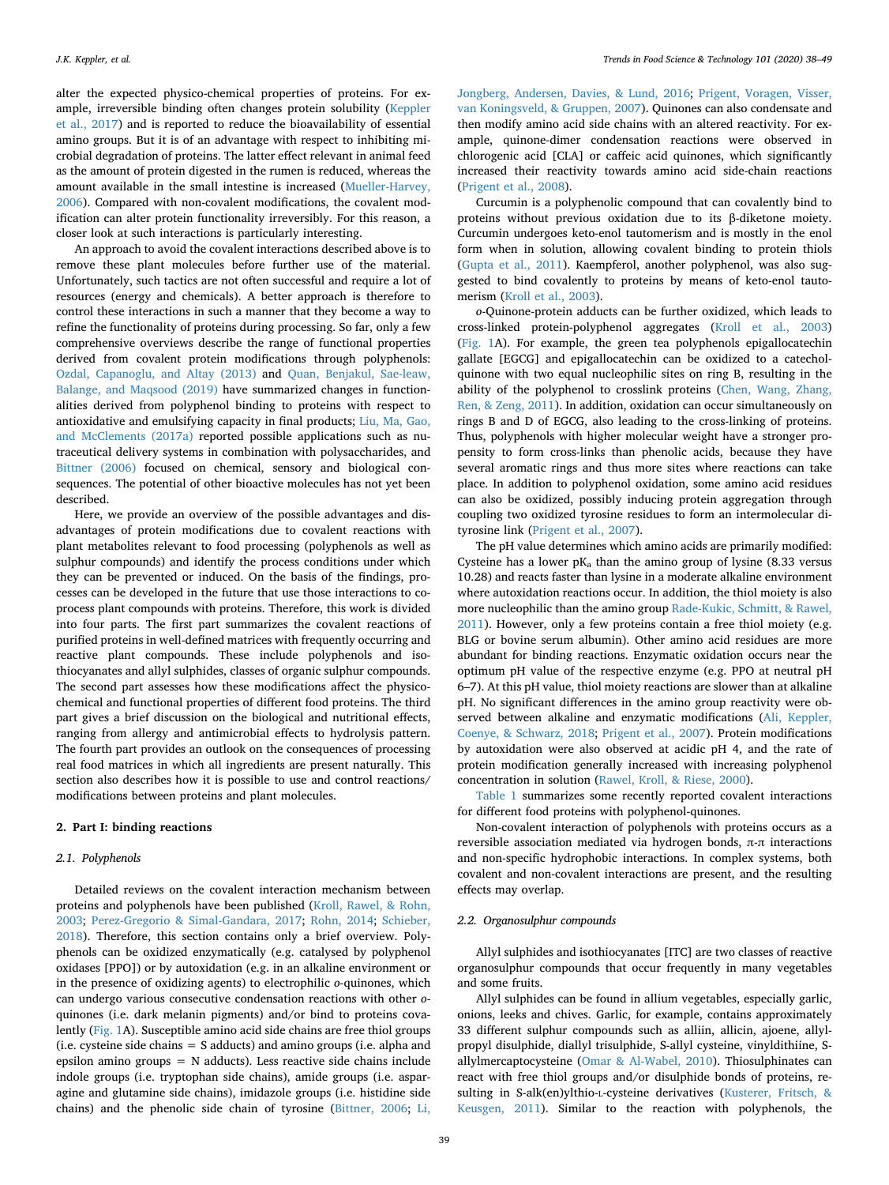alter the expected physico-chemical properties of proteins. For example, irreversible binding often changes protein solubility [\(Keppler](#page-9-4) [et al., 2017](#page-9-4)) and is reported to reduce the bioavailability of essential amino groups. But it is of an advantage with respect to inhibiting microbial degradation of proteins. The latter effect relevant in animal feed as the amount of protein digested in the rumen is reduced, whereas the amount available in the small intestine is increased [\(Mueller-Harvey,](#page-9-5) [2006\)](#page-9-5). Compared with non-covalent modifications, the covalent modification can alter protein functionality irreversibly. For this reason, a closer look at such interactions is particularly interesting.

An approach to avoid the covalent interactions described above is to remove these plant molecules before further use of the material. Unfortunately, such tactics are not often successful and require a lot of resources (energy and chemicals). A better approach is therefore to control these interactions in such a manner that they become a way to refine the functionality of proteins during processing. So far, only a few comprehensive overviews describe the range of functional properties derived from covalent protein modifications through polyphenols: [Ozdal, Capanoglu, and Altay \(2013\)](#page-10-5) and [Quan, Benjakul, Sae-leaw,](#page-10-6) [Balange, and Maqsood \(2019\)](#page-10-6) have summarized changes in functionalities derived from polyphenol binding to proteins with respect to antioxidative and emulsifying capacity in final products; [Liu, Ma, Gao,](#page-9-6) [and McClements \(2017a\)](#page-9-6) reported possible applications such as nutraceutical delivery systems in combination with polysaccharides, and [Bittner \(2006\)](#page-8-0) focused on chemical, sensory and biological consequences. The potential of other bioactive molecules has not yet been described.

Here, we provide an overview of the possible advantages and disadvantages of protein modifications due to covalent reactions with plant metabolites relevant to food processing (polyphenols as well as sulphur compounds) and identify the process conditions under which they can be prevented or induced. On the basis of the findings, processes can be developed in the future that use those interactions to coprocess plant compounds with proteins. Therefore, this work is divided into four parts. The first part summarizes the covalent reactions of purified proteins in well-defined matrices with frequently occurring and reactive plant compounds. These include polyphenols and isothiocyanates and allyl sulphides, classes of organic sulphur compounds. The second part assesses how these modifications affect the physicochemical and functional properties of different food proteins. The third part gives a brief discussion on the biological and nutritional effects, ranging from allergy and antimicrobial effects to hydrolysis pattern. The fourth part provides an outlook on the consequences of processing real food matrices in which all ingredients are present naturally. This section also describes how it is possible to use and control reactions/ modifications between proteins and plant molecules.

#### **2. Part I: binding reactions**

#### *2.1. Polyphenols*

Detailed reviews on the covalent interaction mechanism between proteins and polyphenols have been published [\(Kroll, Rawel, & Rohn,](#page-9-7) [2003;](#page-9-7) [Perez-Gregorio & Simal-Gandara, 2017](#page-10-7); [Rohn, 2014](#page-10-8); [Schieber,](#page-10-9) [2018\)](#page-10-9). Therefore, this section contains only a brief overview. Polyphenols can be oxidized enzymatically (e.g. catalysed by polyphenol oxidases [PPO]) or by autoxidation (e.g. in an alkaline environment or in the presence of oxidizing agents) to electrophilic *o*-quinones, which can undergo various consecutive condensation reactions with other *o*quinones (i.e. dark melanin pigments) and/or bind to proteins covalently ([Fig. 1](#page-2-0)A). Susceptible amino acid side chains are free thiol groups (i.e. cysteine side chains  $= S$  adducts) and amino groups (i.e. alpha and epsilon amino groups  $= N$  adducts). Less reactive side chains include indole groups (i.e. tryptophan side chains), amide groups (i.e. asparagine and glutamine side chains), imidazole groups (i.e. histidine side chains) and the phenolic side chain of tyrosine [\(Bittner, 2006](#page-8-0); [Li,](#page-9-8)

[Jongberg, Andersen, Davies, & Lund, 2016;](#page-9-8) [Prigent, Voragen, Visser,](#page-10-10) [van Koningsveld, & Gruppen, 2007\)](#page-10-10). Quinones can also condensate and then modify amino acid side chains with an altered reactivity. For example, quinone-dimer condensation reactions were observed in chlorogenic acid [CLA] or caffeic acid quinones, which significantly increased their reactivity towards amino acid side-chain reactions ([Prigent et al., 2008](#page-10-11)).

Curcumin is a polyphenolic compound that can covalently bind to proteins without previous oxidation due to its β-diketone moiety. Curcumin undergoes keto-enol tautomerism and is mostly in the enol form when in solution, allowing covalent binding to protein thiols ([Gupta et al., 2011](#page-9-9)). Kaempferol, another polyphenol, was also suggested to bind covalently to proteins by means of keto-enol tautomerism [\(Kroll et al., 2003](#page-9-7)).

*o*-Quinone-protein adducts can be further oxidized, which leads to cross-linked protein-polyphenol aggregates [\(Kroll et al., 2003\)](#page-9-7) ([Fig. 1A](#page-2-0)). For example, the green tea polyphenols epigallocatechin gallate [EGCG] and epigallocatechin can be oxidized to a catecholquinone with two equal nucleophilic sites on ring B, resulting in the ability of the polyphenol to crosslink proteins [\(Chen, Wang, Zhang,](#page-9-10) [Ren, & Zeng, 2011\)](#page-9-10). In addition, oxidation can occur simultaneously on rings B and D of EGCG, also leading to the cross-linking of proteins. Thus, polyphenols with higher molecular weight have a stronger propensity to form cross-links than phenolic acids, because they have several aromatic rings and thus more sites where reactions can take place. In addition to polyphenol oxidation, some amino acid residues can also be oxidized, possibly inducing protein aggregation through coupling two oxidized tyrosine residues to form an intermolecular dityrosine link ([Prigent et al., 2007\)](#page-10-10).

The pH value determines which amino acids are primarily modified: Cysteine has a lower  $pK_a$  than the amino group of lysine (8.33 versus 10.28) and reacts faster than lysine in a moderate alkaline environment where autoxidation reactions occur. In addition, the thiol moiety is also more nucleophilic than the amino group [Rade-Kukic, Schmitt, & Rawel,](#page-10-12) [2011\)](#page-10-12). However, only a few proteins contain a free thiol moiety (e.g. BLG or bovine serum albumin). Other amino acid residues are more abundant for binding reactions. Enzymatic oxidation occurs near the optimum pH value of the respective enzyme (e.g. PPO at neutral pH 6–7). At this pH value, thiol moiety reactions are slower than at alkaline pH. No significant differences in the amino group reactivity were observed between alkaline and enzymatic modifications ([Ali, Keppler,](#page-8-1) [Coenye, & Schwarz, 2018;](#page-8-1) [Prigent et al., 2007](#page-10-10)). Protein modifications by autoxidation were also observed at acidic pH 4, and the rate of protein modification generally increased with increasing polyphenol concentration in solution [\(Rawel, Kroll, & Riese, 2000\)](#page-10-13).

[Table 1](#page-2-1) summarizes some recently reported covalent interactions for different food proteins with polyphenol-quinones.

Non-covalent interaction of polyphenols with proteins occurs as a reversible association mediated via hydrogen bonds, π-π interactions and non-specific hydrophobic interactions. In complex systems, both covalent and non-covalent interactions are present, and the resulting effects may overlap.

## *2.2. Organosulphur compounds*

Allyl sulphides and isothiocyanates [ITC] are two classes of reactive organosulphur compounds that occur frequently in many vegetables and some fruits.

Allyl sulphides can be found in allium vegetables, especially garlic, onions, leeks and chives. Garlic, for example, contains approximately 33 different sulphur compounds such as alliin, allicin, ajoene, allylpropyl disulphide, diallyl trisulphide, S-allyl cysteine, vinyldithiine, Sallylmercaptocysteine ([Omar & Al-Wabel, 2010\)](#page-10-14). Thiosulphinates can react with free thiol groups and/or disulphide bonds of proteins, resulting in S-alk(en)ylthio-L-cysteine derivatives [\(Kusterer, Fritsch, &](#page-9-11) [Keusgen, 2011\)](#page-9-11). Similar to the reaction with polyphenols, the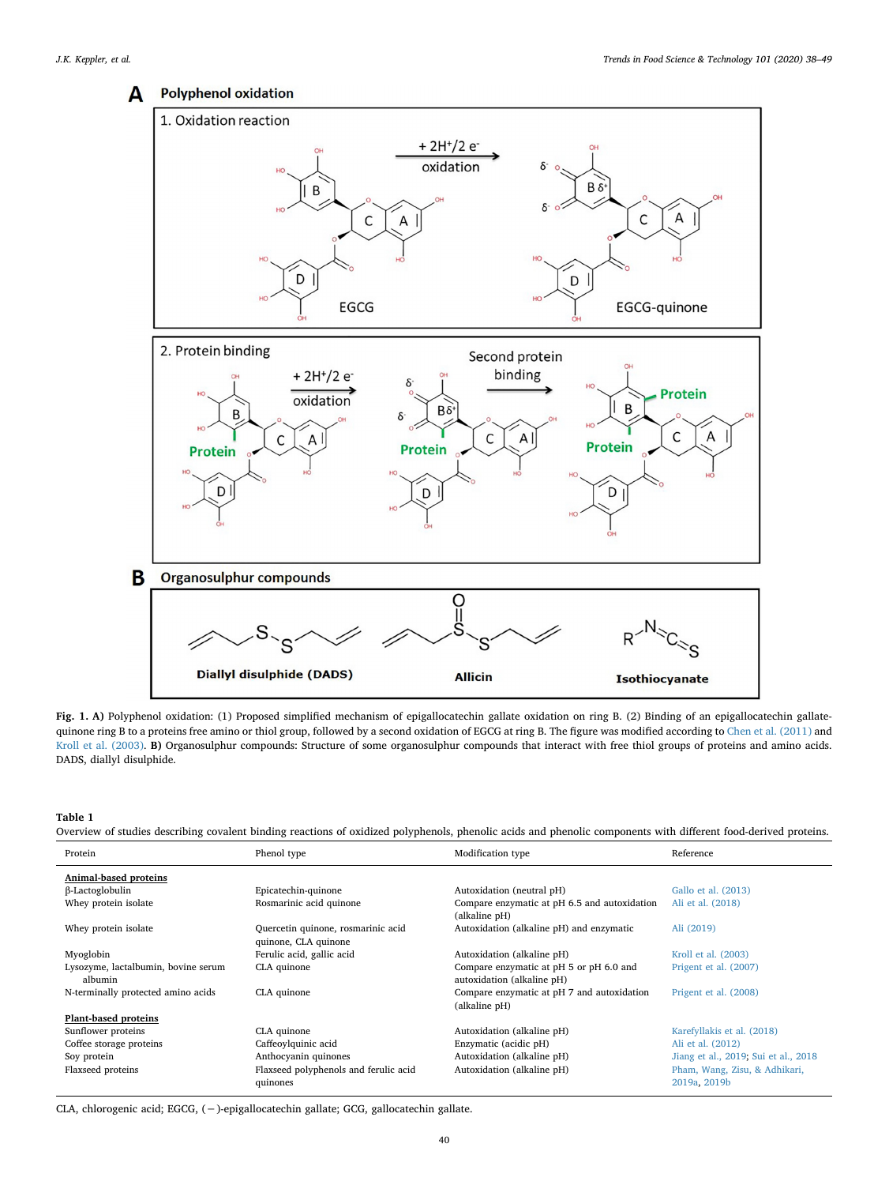<span id="page-2-0"></span>

**Fig. 1. A)** Polyphenol oxidation: (1) Proposed simplified mechanism of epigallocatechin gallate oxidation on ring B. (2) Binding of an epigallocatechin gallatequinone ring B to a proteins free amino or thiol group, followed by a second oxidation of EGCG at ring B. The figure was modified according to [Chen et al. \(2011\)](#page-9-10) and [Kroll et al. \(2003\)](#page-9-7). **B)** Organosulphur compounds: Structure of some organosulphur compounds that interact with free thiol groups of proteins and amino acids. DADS, diallyl disulphide.

<span id="page-2-1"></span>**Table 1**

Overview of studies describing covalent binding reactions of oxidized polyphenols, phenolic acids and phenolic components with different food-derived proteins.

| Protein                                        | Phenol type                                                | Modification type                                                     | Reference                                     |
|------------------------------------------------|------------------------------------------------------------|-----------------------------------------------------------------------|-----------------------------------------------|
| Animal-based proteins                          |                                                            |                                                                       |                                               |
| β-Lactoglobulin                                | Epicatechin-quinone                                        | Autoxidation (neutral pH)                                             | Gallo et al. (2013)                           |
| Whey protein isolate                           | Rosmarinic acid quinone                                    | Compare enzymatic at pH 6.5 and autoxidation<br>(alkaline pH)         | Ali et al. (2018)                             |
| Whey protein isolate                           | Quercetin quinone, rosmarinic acid<br>quinone, CLA quinone | Autoxidation (alkaline pH) and enzymatic                              | Ali (2019)                                    |
| Myoglobin                                      | Ferulic acid, gallic acid                                  | Autoxidation (alkaline pH)                                            | Kroll et al. (2003)                           |
| Lysozyme, lactalbumin, bovine serum<br>albumin | CLA quinone                                                | Compare enzymatic at pH 5 or pH 6.0 and<br>autoxidation (alkaline pH) | Prigent et al. (2007)                         |
| N-terminally protected amino acids             | CLA quinone                                                | Compare enzymatic at pH 7 and autoxidation<br>(alkaline pH)           | Prigent et al. (2008)                         |
| Plant-based proteins                           |                                                            |                                                                       |                                               |
| Sunflower proteins                             | CLA quinone                                                | Autoxidation (alkaline pH)                                            | Karefyllakis et al. (2018)                    |
| Coffee storage proteins                        | Caffeoylquinic acid                                        | Enzymatic (acidic pH)                                                 | Ali et al. (2012)                             |
| Soy protein                                    | Anthocyanin quinones                                       | Autoxidation (alkaline pH)                                            | Jiang et al., 2019; Sui et al., 2018          |
| Flaxseed proteins                              | Flaxseed polyphenols and ferulic acid<br>quinones          | Autoxidation (alkaline pH)                                            | Pham, Wang, Zisu, & Adhikari,<br>2019a, 2019b |

CLA, chlorogenic acid; EGCG, (−)-epigallocatechin gallate; GCG, gallocatechin gallate.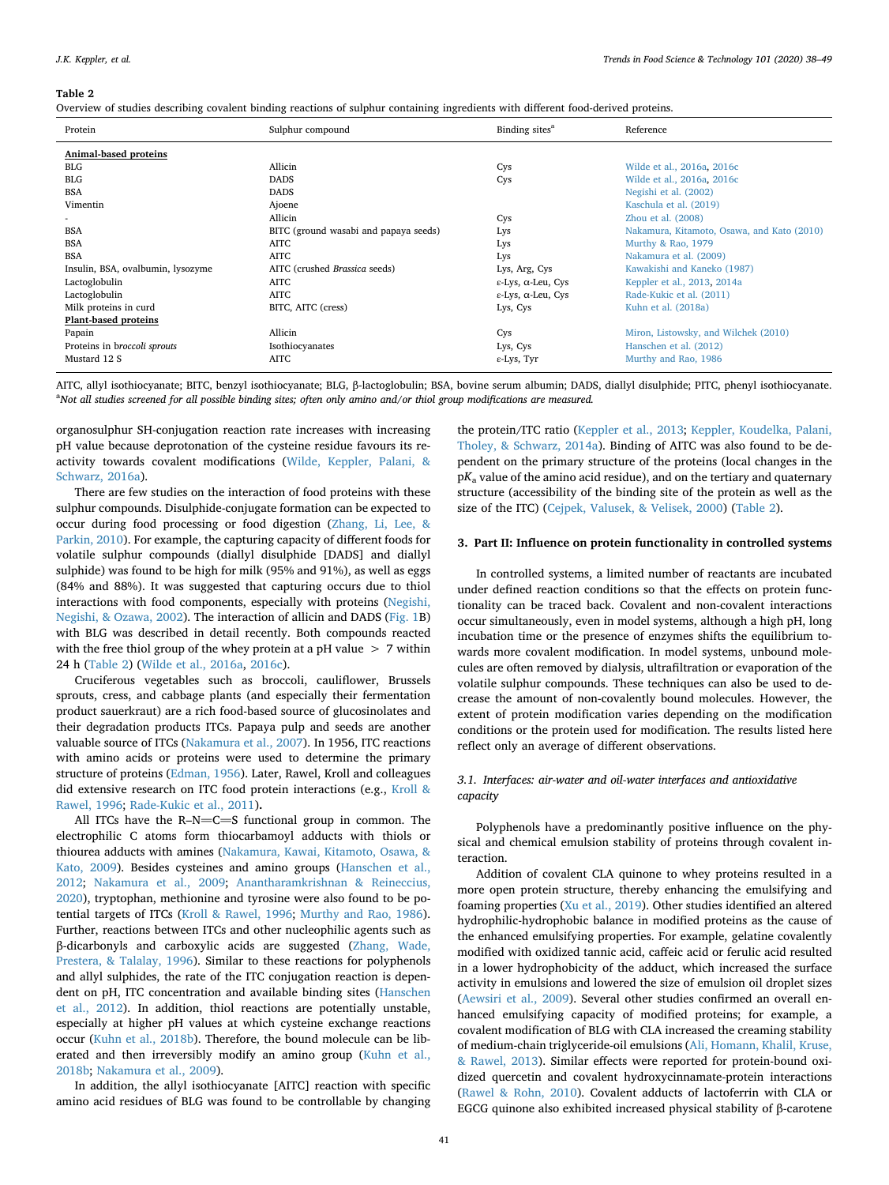#### <span id="page-3-0"></span>**Table 2**

Overview of studies describing covalent binding reactions of sulphur containing ingredients with different food-derived proteins.

| Protein                           | Sulphur compound                      | Binding sites <sup>a</sup>             | Reference                                  |
|-----------------------------------|---------------------------------------|----------------------------------------|--------------------------------------------|
| Animal-based proteins             |                                       |                                        |                                            |
| <b>BLG</b>                        | Allicin                               | Cys                                    | Wilde et al., 2016a, 2016c                 |
| <b>BLG</b>                        | <b>DADS</b>                           | Cys                                    | Wilde et al., 2016a, 2016c                 |
| <b>BSA</b>                        | <b>DADS</b>                           |                                        | Negishi et al. (2002)                      |
| Vimentin                          | Ajoene                                |                                        | Kaschula et al. (2019)                     |
|                                   | Allicin                               | Cys                                    | Zhou et al. $(2008)$                       |
| <b>BSA</b>                        | BITC (ground wasabi and papaya seeds) | Lys                                    | Nakamura, Kitamoto, Osawa, and Kato (2010) |
| <b>BSA</b>                        | <b>AITC</b>                           | Lys                                    | Murthy & Rao, 1979                         |
| <b>BSA</b>                        | <b>AITC</b>                           | Lys                                    | Nakamura et al. (2009)                     |
| Insulin, BSA, ovalbumin, lysozyme | AITC (crushed Brassica seeds)         | Lys, Arg, Cys                          | Kawakishi and Kaneko (1987)                |
| Lactoglobulin                     | AITC                                  | $\varepsilon$ -Lys, $\alpha$ -Leu, Cys | Keppler et al., 2013, 2014a                |
| Lactoglobulin                     | <b>AITC</b>                           | $\varepsilon$ -Lys, $\alpha$ -Leu, Cys | Rade-Kukic et al. (2011)                   |
| Milk proteins in curd             | BITC, AITC (cress)                    | Lys, Cys                               | Kuhn et al. (2018a)                        |
| Plant-based proteins              |                                       |                                        |                                            |
| Papain                            | Allicin                               | Cys                                    | Miron, Listowsky, and Wilchek (2010)       |
| Proteins in broccoli sprouts      | Isothiocyanates                       | Lys, Cys                               | Hanschen et al. (2012)                     |
| Mustard 12 S                      | <b>AITC</b>                           | ε-Lys, Tyr                             | Murthy and Rao, 1986                       |

AITC, allyl isothiocyanate; BITC, benzyl isothiocyanate; BLG, β-lactoglobulin; BSA, bovine serum albumin; DADS, diallyl disulphide; PITC, phenyl isothiocyanate. a *Not all studies screened for all possible binding sites; often only amino and/or thiol group modifications are measured.*

organosulphur SH-conjugation reaction rate increases with increasing pH value because deprotonation of the cysteine residue favours its reactivity towards covalent modifications [\(Wilde, Keppler, Palani, &](#page-10-18) [Schwarz, 2016a](#page-10-18)).

There are few studies on the interaction of food proteins with these sulphur compounds. Disulphide-conjugate formation can be expected to occur during food processing or food digestion [\(Zhang, Li, Lee, &](#page-11-0) [Parkin, 2010\)](#page-11-0). For example, the capturing capacity of different foods for volatile sulphur compounds (diallyl disulphide [DADS] and diallyl sulphide) was found to be high for milk (95% and 91%), as well as eggs (84% and 88%). It was suggested that capturing occurs due to thiol interactions with food components, especially with proteins [\(Negishi,](#page-10-19) [Negishi, & Ozawa, 2002\)](#page-10-19). The interaction of allicin and DADS ([Fig. 1B](#page-2-0)) with BLG was described in detail recently. Both compounds reacted with the free thiol group of the whey protein at a pH value > 7 within 24 h [\(Table 2](#page-3-0)) ([Wilde et al., 2016a,](#page-10-18) [2016c](#page-10-20)).

Cruciferous vegetables such as broccoli, cauliflower, Brussels sprouts, cress, and cabbage plants (and especially their fermentation product sauerkraut) are a rich food-based source of glucosinolates and their degradation products ITCs. Papaya pulp and seeds are another valuable source of ITCs [\(Nakamura et al., 2007](#page-10-21)). In 1956, ITC reactions with amino acids or proteins were used to determine the primary structure of proteins [\(Edman, 1956](#page-9-14)). Later, Rawel, Kroll and colleagues did extensive research on ITC food protein interactions (e.g., [Kroll &](#page-9-15) [Rawel, 1996](#page-9-15); [Rade-Kukic et al., 2011\)](#page-10-12)**.**

All ITCs have the R-N= $C = S$  functional group in common. The electrophilic C atoms form thiocarbamoyl adducts with thiols or thiourea adducts with amines [\(Nakamura, Kawai, Kitamoto, Osawa, &](#page-10-22) [Kato, 2009](#page-10-22)). Besides cysteines and amino groups [\(Hanschen et al.,](#page-9-16) [2012;](#page-9-16) [Nakamura et al., 2009;](#page-10-22) [Anantharamkrishnan & Reineccius,](#page-8-4) [2020\)](#page-8-4), tryptophan, methionine and tyrosine were also found to be potential targets of ITCs ([Kroll & Rawel, 1996;](#page-9-15) [Murthy and Rao, 1986](#page-9-17)). Further, reactions between ITCs and other nucleophilic agents such as β-dicarbonyls and carboxylic acids are suggested ([Zhang, Wade,](#page-11-1) [Prestera, & Talalay, 1996](#page-11-1)). Similar to these reactions for polyphenols and allyl sulphides, the rate of the ITC conjugation reaction is dependent on pH, ITC concentration and available binding sites [\(Hanschen](#page-9-16) [et al., 2012](#page-9-16)). In addition, thiol reactions are potentially unstable, especially at higher pH values at which cysteine exchange reactions occur ([Kuhn et al., 2018b\)](#page-9-18). Therefore, the bound molecule can be liberated and then irreversibly modify an amino group ([Kuhn et al.,](#page-9-18) [2018b;](#page-9-18) [Nakamura et al., 2009\)](#page-10-22).

In addition, the allyl isothiocyanate [AITC] reaction with specific amino acid residues of BLG was found to be controllable by changing

the protein/ITC ratio [\(Keppler et al., 2013](#page-9-19); [Keppler, Koudelka, Palani,](#page-9-20) [Tholey, & Schwarz, 2014a\)](#page-9-20). Binding of AITC was also found to be dependent on the primary structure of the proteins (local changes in the p*K*<sup>a</sup> value of the amino acid residue), and on the tertiary and quaternary structure (accessibility of the binding site of the protein as well as the size of the ITC) ([Cejpek, Valusek, & Velisek, 2000\)](#page-9-21) [\(Table 2\)](#page-3-0).

# **3. Part II: Influence on protein functionality in controlled systems**

In controlled systems, a limited number of reactants are incubated under defined reaction conditions so that the effects on protein functionality can be traced back. Covalent and non-covalent interactions occur simultaneously, even in model systems, although a high pH, long incubation time or the presence of enzymes shifts the equilibrium towards more covalent modification. In model systems, unbound molecules are often removed by dialysis, ultrafiltration or evaporation of the volatile sulphur compounds. These techniques can also be used to decrease the amount of non-covalently bound molecules. However, the extent of protein modification varies depending on the modification conditions or the protein used for modification. The results listed here reflect only an average of different observations.

# *3.1. Interfaces: air-water and oil-water interfaces and antioxidative capacity*

Polyphenols have a predominantly positive influence on the physical and chemical emulsion stability of proteins through covalent interaction.

Addition of covalent CLA quinone to whey proteins resulted in a more open protein structure, thereby enhancing the emulsifying and foaming properties [\(Xu et al., 2019\)](#page-10-23). Other studies identified an altered hydrophilic-hydrophobic balance in modified proteins as the cause of the enhanced emulsifying properties. For example, gelatine covalently modified with oxidized tannic acid, caffeic acid or ferulic acid resulted in a lower hydrophobicity of the adduct, which increased the surface activity in emulsions and lowered the size of emulsion oil droplet sizes ([Aewsiri et al., 2009](#page-8-5)). Several other studies confirmed an overall enhanced emulsifying capacity of modified proteins; for example, a covalent modification of BLG with CLA increased the creaming stability of medium-chain triglyceride-oil emulsions [\(Ali, Homann, Khalil, Kruse,](#page-8-6) [& Rawel, 2013\)](#page-8-6). Similar effects were reported for protein-bound oxidized quercetin and covalent hydroxycinnamate-protein interactions ([Rawel & Rohn, 2010\)](#page-10-2). Covalent adducts of lactoferrin with CLA or EGCG quinone also exhibited increased physical stability of β-carotene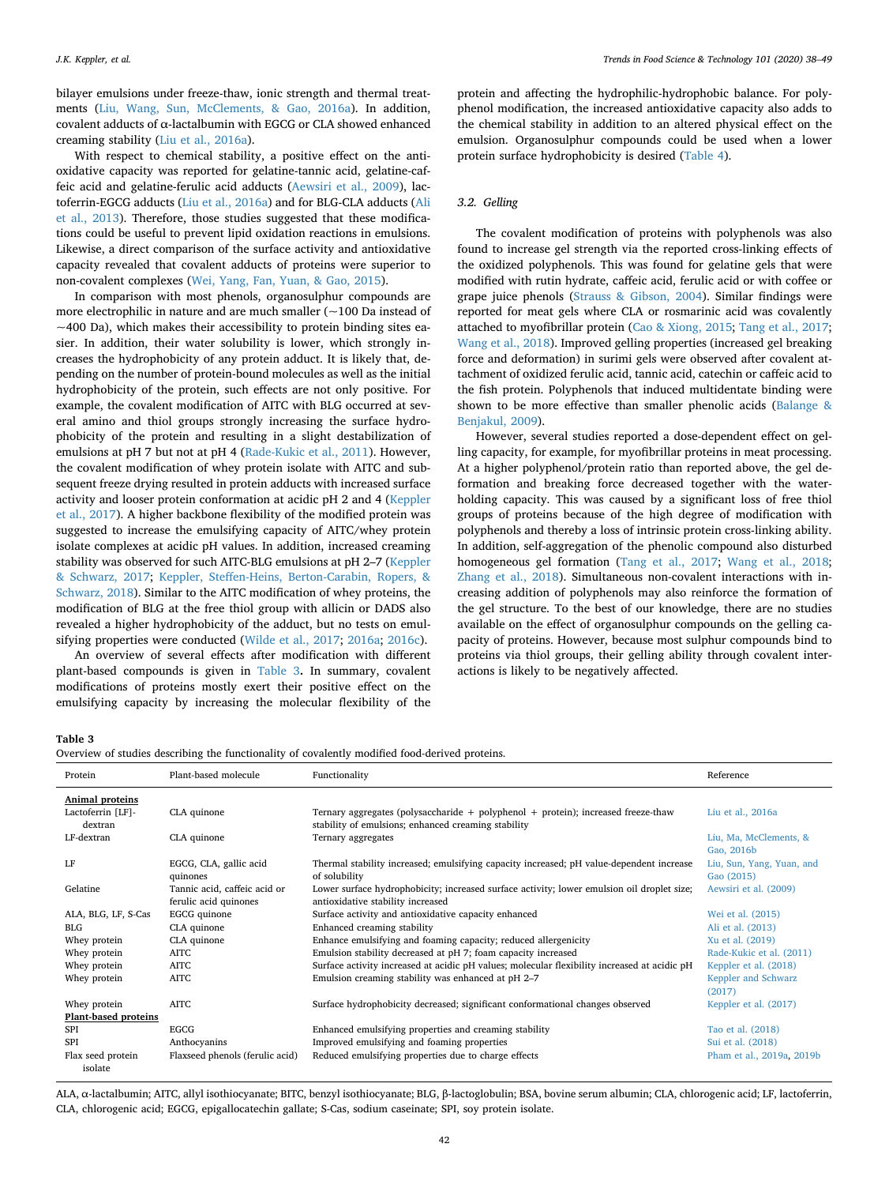bilayer emulsions under freeze-thaw, ionic strength and thermal treatments [\(Liu, Wang, Sun, McClements, & Gao, 2016a](#page-9-26)). In addition, covalent adducts of α-lactalbumin with EGCG or CLA showed enhanced creaming stability [\(Liu et al., 2016a\)](#page-9-26).

With respect to chemical stability, a positive effect on the antioxidative capacity was reported for gelatine-tannic acid, gelatine-caffeic acid and gelatine-ferulic acid adducts ([Aewsiri et al., 2009](#page-8-5)), lactoferrin-EGCG adducts [\(Liu et al., 2016a](#page-9-26)) and for BLG-CLA adducts ([Ali](#page-8-6) [et al., 2013\)](#page-8-6). Therefore, those studies suggested that these modifications could be useful to prevent lipid oxidation reactions in emulsions. Likewise, a direct comparison of the surface activity and antioxidative capacity revealed that covalent adducts of proteins were superior to non-covalent complexes [\(Wei, Yang, Fan, Yuan, & Gao, 2015](#page-10-25)).

In comparison with most phenols, organosulphur compounds are more electrophilic in nature and are much smaller (~100 Da instead of  $\sim$ 400 Da), which makes their accessibility to protein binding sites easier. In addition, their water solubility is lower, which strongly increases the hydrophobicity of any protein adduct. It is likely that, depending on the number of protein-bound molecules as well as the initial hydrophobicity of the protein, such effects are not only positive. For example, the covalent modification of AITC with BLG occurred at several amino and thiol groups strongly increasing the surface hydrophobicity of the protein and resulting in a slight destabilization of emulsions at pH 7 but not at pH 4 [\(Rade-Kukic et al., 2011](#page-10-12)). However, the covalent modification of whey protein isolate with AITC and subsequent freeze drying resulted in protein adducts with increased surface activity and looser protein conformation at acidic pH 2 and 4 [\(Keppler](#page-9-4) [et al., 2017\)](#page-9-4). A higher backbone flexibility of the modified protein was suggested to increase the emulsifying capacity of AITC/whey protein isolate complexes at acidic pH values. In addition, increased creaming stability was observed for such AITC-BLG emulsions at pH 2–7 [\(Keppler](#page-9-27) [& Schwarz, 2017;](#page-9-27) [Keppler, Steffen-Heins, Berton-Carabin, Ropers, &](#page-9-28) [Schwarz, 2018\)](#page-9-28). Similar to the AITC modification of whey proteins, the modification of BLG at the free thiol group with allicin or DADS also revealed a higher hydrophobicity of the adduct, but no tests on emulsifying properties were conducted ([Wilde et al., 2017;](#page-10-26) [2016a;](#page-10-18) [2016c](#page-10-20)).

An overview of several effects after modification with different plant-based compounds is given in [Table 3](#page-4-0)**.** In summary, covalent modifications of proteins mostly exert their positive effect on the emulsifying capacity by increasing the molecular flexibility of the

protein and affecting the hydrophilic-hydrophobic balance. For polyphenol modification, the increased antioxidative capacity also adds to the chemical stability in addition to an altered physical effect on the emulsion. Organosulphur compounds could be used when a lower protein surface hydrophobicity is desired ([Table 4](#page-5-0)).

# *3.2. Gelling*

The covalent modification of proteins with polyphenols was also found to increase gel strength via the reported cross-linking effects of the oxidized polyphenols. This was found for gelatine gels that were modified with rutin hydrate, caffeic acid, ferulic acid or with coffee or grape juice phenols ([Strauss & Gibson, 2004\)](#page-10-27). Similar findings were reported for meat gels where CLA or rosmarinic acid was covalently attached to myofibrillar protein ([Cao & Xiong, 2015;](#page-8-7) [Tang et al., 2017](#page-10-28); [Wang et al., 2018\)](#page-10-29). Improved gelling properties (increased gel breaking force and deformation) in surimi gels were observed after covalent attachment of oxidized ferulic acid, tannic acid, catechin or caffeic acid to the fish protein. Polyphenols that induced multidentate binding were shown to be more effective than smaller phenolic acids [\(Balange &](#page-8-8) [Benjakul, 2009](#page-8-8)).

However, several studies reported a dose-dependent effect on gelling capacity, for example, for myofibrillar proteins in meat processing. At a higher polyphenol/protein ratio than reported above, the gel deformation and breaking force decreased together with the waterholding capacity. This was caused by a significant loss of free thiol groups of proteins because of the high degree of modification with polyphenols and thereby a loss of intrinsic protein cross-linking ability. In addition, self-aggregation of the phenolic compound also disturbed homogeneous gel formation ([Tang et al., 2017](#page-10-28); [Wang et al., 2018](#page-10-29); [Zhang et al., 2018\)](#page-11-3). Simultaneous non-covalent interactions with increasing addition of polyphenols may also reinforce the formation of the gel structure. To the best of our knowledge, there are no studies available on the effect of organosulphur compounds on the gelling capacity of proteins. However, because most sulphur compounds bind to proteins via thiol groups, their gelling ability through covalent interactions is likely to be negatively affected.

# <span id="page-4-0"></span>**Table 3**

Overview of studies describing the functionality of covalently modified food-derived proteins.

| Protein                      | Plant-based molecule            | Functionality                                                                                                                                | Reference                 |
|------------------------------|---------------------------------|----------------------------------------------------------------------------------------------------------------------------------------------|---------------------------|
| Animal proteins              |                                 |                                                                                                                                              |                           |
| Lactoferrin [LF]-<br>dextran | CLA quinone                     | Ternary aggregates (polysaccharide $+$ polyphenol $+$ protein); increased freeze-thaw<br>stability of emulsions; enhanced creaming stability | Liu et al., 2016a         |
| LF-dextran                   | CLA quinone                     | Ternary aggregates                                                                                                                           | Liu, Ma, McClements, &    |
|                              |                                 |                                                                                                                                              | Gao, 2016b                |
| LF                           | EGCG, CLA, gallic acid          | Thermal stability increased; emulsifying capacity increased; pH value-dependent increase                                                     | Liu, Sun, Yang, Yuan, and |
|                              | quinones                        | of solubility                                                                                                                                | Gao (2015)                |
| Gelatine                     | Tannic acid, caffeic acid or    | Lower surface hydrophobicity; increased surface activity; lower emulsion oil droplet size;                                                   | Aewsiri et al. (2009)     |
|                              | ferulic acid quinones           | antioxidative stability increased                                                                                                            |                           |
| ALA, BLG, LF, S-Cas          | EGCG quinone                    | Surface activity and antioxidative capacity enhanced                                                                                         | Wei et al. (2015)         |
| <b>BLG</b>                   | CLA quinone                     | Enhanced creaming stability                                                                                                                  | Ali et al. (2013)         |
| Whey protein                 | CLA quinone                     | Enhance emulsifying and foaming capacity; reduced allergenicity                                                                              | Xu et al. (2019)          |
| Whey protein                 | AITC                            | Emulsion stability decreased at pH 7; foam capacity increased                                                                                | Rade-Kukic et al. (2011)  |
| Whey protein                 | AITC                            | Surface activity increased at acidic pH values; molecular flexibility increased at acidic pH                                                 | Keppler et al. (2018)     |
| Whey protein                 | AITC                            | Emulsion creaming stability was enhanced at pH 2-7                                                                                           | Keppler and Schwarz       |
|                              |                                 |                                                                                                                                              | (2017)                    |
| Whey protein                 | AITC                            | Surface hydrophobicity decreased; significant conformational changes observed                                                                | Keppler et al. (2017)     |
| Plant-based proteins         |                                 |                                                                                                                                              |                           |
| SPI                          | EGCG                            | Enhanced emulsifying properties and creaming stability                                                                                       | Tao et al. (2018)         |
| SPI                          | Anthocyanins                    | Improved emulsifying and foaming properties                                                                                                  | Sui et al. (2018)         |
| Flax seed protein            | Flaxseed phenols (ferulic acid) | Reduced emulsifying properties due to charge effects                                                                                         | Pham et al., 2019a, 2019b |
| isolate                      |                                 |                                                                                                                                              |                           |

ALA, α-lactalbumin; AITC, allyl isothiocyanate; BITC, benzyl isothiocyanate; BLG, β-lactoglobulin; BSA, bovine serum albumin; CLA, chlorogenic acid; LF, lactoferrin, CLA, chlorogenic acid; EGCG, epigallocatechin gallate; S-Cas, sodium caseinate; SPI, soy protein isolate.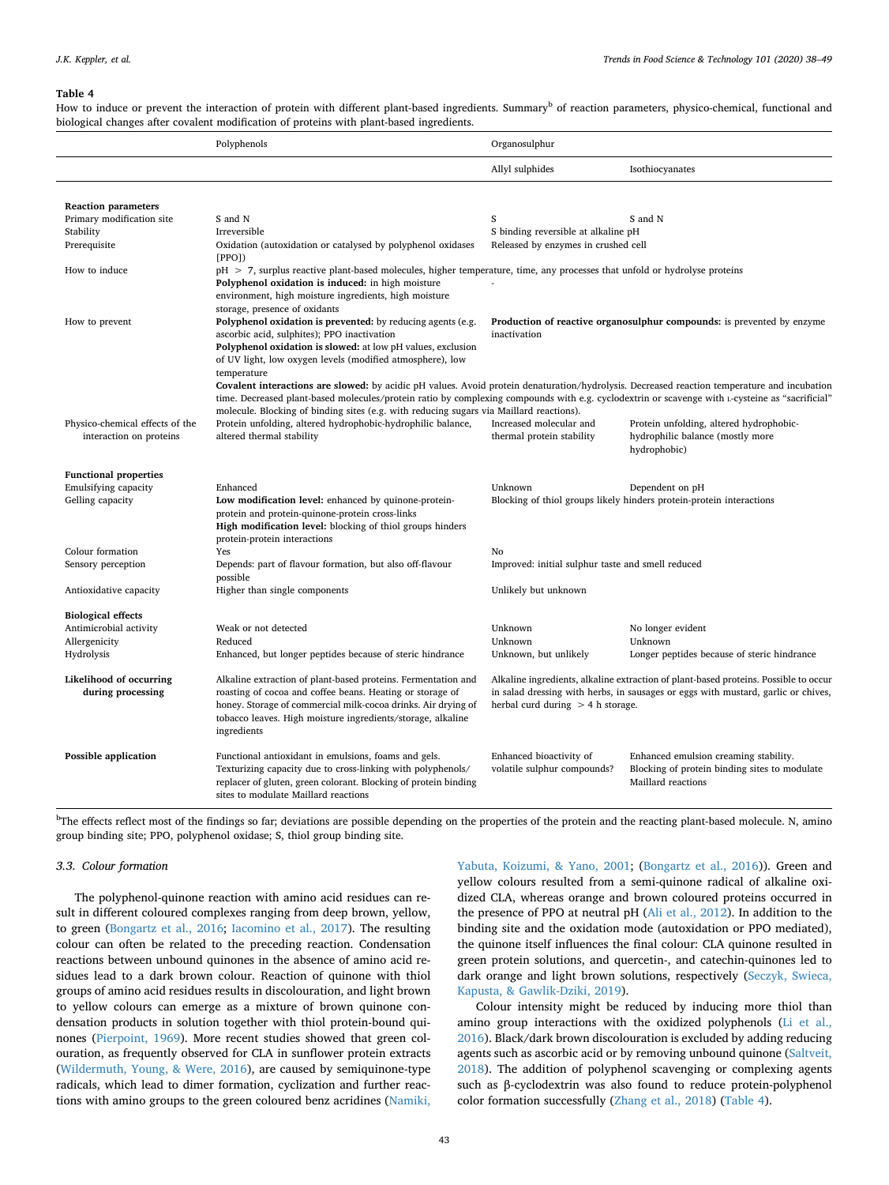#### <span id="page-5-0"></span>**Table 4**

How to induce or prevent the interaction of protein with different plant-based ingredients. Summary<sup>b</sup> of reaction parameters, physico-chemical, functional and biological changes after covalent modification of proteins with plant-based ingredients.

|                                 | Polyphenols                                                                                                                                     | Organosulphur                                                                          |                                                                                      |  |  |
|---------------------------------|-------------------------------------------------------------------------------------------------------------------------------------------------|----------------------------------------------------------------------------------------|--------------------------------------------------------------------------------------|--|--|
|                                 |                                                                                                                                                 | Allyl sulphides                                                                        | Isothiocyanates                                                                      |  |  |
| <b>Reaction parameters</b>      |                                                                                                                                                 |                                                                                        |                                                                                      |  |  |
| Primary modification site       | S and N                                                                                                                                         | S                                                                                      | S and N                                                                              |  |  |
| Stability                       | Irreversible                                                                                                                                    | S binding reversible at alkaline pH                                                    |                                                                                      |  |  |
| Prerequisite                    | Oxidation (autoxidation or catalysed by polyphenol oxidases<br>[PPO]                                                                            | Released by enzymes in crushed cell                                                    |                                                                                      |  |  |
| How to induce                   | $pH > 7$ , surplus reactive plant-based molecules, higher temperature, time, any processes that unfold or hydrolyse proteins                    |                                                                                        |                                                                                      |  |  |
|                                 | Polyphenol oxidation is induced: in high moisture                                                                                               |                                                                                        |                                                                                      |  |  |
|                                 | environment, high moisture ingredients, high moisture                                                                                           |                                                                                        |                                                                                      |  |  |
|                                 | storage, presence of oxidants                                                                                                                   |                                                                                        |                                                                                      |  |  |
| How to prevent                  | Polyphenol oxidation is prevented: by reducing agents (e.g.<br>ascorbic acid, sulphites); PPO inactivation                                      | Production of reactive organosulphur compounds: is prevented by enzyme<br>inactivation |                                                                                      |  |  |
|                                 | Polyphenol oxidation is slowed: at low pH values, exclusion                                                                                     |                                                                                        |                                                                                      |  |  |
|                                 | of UV light, low oxygen levels (modified atmosphere), low                                                                                       |                                                                                        |                                                                                      |  |  |
|                                 | temperature                                                                                                                                     |                                                                                        |                                                                                      |  |  |
|                                 | Covalent interactions are slowed: by acidic pH values. Avoid protein denaturation/hydrolysis. Decreased reaction temperature and incubation     |                                                                                        |                                                                                      |  |  |
|                                 | time. Decreased plant-based molecules/protein ratio by complexing compounds with e.g. cyclodextrin or scavenge with L-cysteine as "sacrificial" |                                                                                        |                                                                                      |  |  |
|                                 | molecule. Blocking of binding sites (e.g. with reducing sugars via Maillard reactions).                                                         |                                                                                        |                                                                                      |  |  |
| Physico-chemical effects of the | Protein unfolding, altered hydrophobic-hydrophilic balance,                                                                                     | Increased molecular and                                                                | Protein unfolding, altered hydrophobic-                                              |  |  |
| interaction on proteins         | altered thermal stability                                                                                                                       | thermal protein stability                                                              | hydrophilic balance (mostly more<br>hydrophobic)                                     |  |  |
|                                 |                                                                                                                                                 |                                                                                        |                                                                                      |  |  |
| <b>Functional properties</b>    |                                                                                                                                                 |                                                                                        |                                                                                      |  |  |
| Emulsifying capacity            | Enhanced                                                                                                                                        | Unknown                                                                                | Dependent on pH                                                                      |  |  |
| Gelling capacity                | Low modification level: enhanced by quinone-protein-                                                                                            | Blocking of thiol groups likely hinders protein-protein interactions                   |                                                                                      |  |  |
|                                 | protein and protein-quinone-protein cross-links                                                                                                 |                                                                                        |                                                                                      |  |  |
|                                 | High modification level: blocking of thiol groups hinders                                                                                       |                                                                                        |                                                                                      |  |  |
| Colour formation                | protein-protein interactions<br>Yes                                                                                                             | No                                                                                     |                                                                                      |  |  |
| Sensory perception              | Depends: part of flavour formation, but also off-flavour                                                                                        | Improved: initial sulphur taste and smell reduced                                      |                                                                                      |  |  |
|                                 | possible                                                                                                                                        |                                                                                        |                                                                                      |  |  |
| Antioxidative capacity          | Higher than single components                                                                                                                   | Unlikely but unknown                                                                   |                                                                                      |  |  |
|                                 |                                                                                                                                                 |                                                                                        |                                                                                      |  |  |
| <b>Biological effects</b>       |                                                                                                                                                 |                                                                                        |                                                                                      |  |  |
| Antimicrobial activity          | Weak or not detected                                                                                                                            | Unknown                                                                                | No longer evident                                                                    |  |  |
| Allergenicity<br>Hydrolysis     | Reduced                                                                                                                                         | Unknown<br>Unknown, but unlikely                                                       | Unknown                                                                              |  |  |
|                                 | Enhanced, but longer peptides because of steric hindrance                                                                                       |                                                                                        | Longer peptides because of steric hindrance                                          |  |  |
| Likelihood of occurring         | Alkaline extraction of plant-based proteins. Fermentation and                                                                                   |                                                                                        | Alkaline ingredients, alkaline extraction of plant-based proteins. Possible to occur |  |  |
| during processing               | roasting of cocoa and coffee beans. Heating or storage of                                                                                       |                                                                                        | in salad dressing with herbs, in sausages or eggs with mustard, garlic or chives,    |  |  |
|                                 | honey. Storage of commercial milk-cocoa drinks. Air drying of                                                                                   | herbal curd during $> 4$ h storage.                                                    |                                                                                      |  |  |
|                                 | tobacco leaves. High moisture ingredients/storage, alkaline                                                                                     |                                                                                        |                                                                                      |  |  |
|                                 | ingredients                                                                                                                                     |                                                                                        |                                                                                      |  |  |
| <b>Possible application</b>     | Functional antioxidant in emulsions, foams and gels.                                                                                            | Enhanced bioactivity of                                                                | Enhanced emulsion creaming stability.                                                |  |  |
|                                 | Texturizing capacity due to cross-linking with polyphenols/                                                                                     | volatile sulphur compounds?                                                            | Blocking of protein binding sites to modulate                                        |  |  |
|                                 | replacer of gluten, green colorant. Blocking of protein binding                                                                                 |                                                                                        | Maillard reactions                                                                   |  |  |
|                                 | sites to modulate Maillard reactions                                                                                                            |                                                                                        |                                                                                      |  |  |
|                                 |                                                                                                                                                 |                                                                                        |                                                                                      |  |  |

<sup>b</sup>The effects reflect most of the findings so far; deviations are possible depending on the properties of the protein and the reacting plant-based molecule. N, amino group binding site; PPO, polyphenol oxidase; S, thiol group binding site.

# *3.3. Colour formation*

The polyphenol-quinone reaction with amino acid residues can result in different coloured complexes ranging from deep brown, yellow, to green ([Bongartz et al., 2016;](#page-8-9) [Iacomino et al., 2017\)](#page-9-31). The resulting colour can often be related to the preceding reaction. Condensation reactions between unbound quinones in the absence of amino acid residues lead to a dark brown colour. Reaction of quinone with thiol groups of amino acid residues results in discolouration, and light brown to yellow colours can emerge as a mixture of brown quinone condensation products in solution together with thiol protein-bound quinones ([Pierpoint, 1969\)](#page-10-31). More recent studies showed that green colouration, as frequently observed for CLA in sunflower protein extracts ([Wildermuth, Young, & Were, 2016\)](#page-10-32), are caused by semiquinone-type radicals, which lead to dimer formation, cyclization and further reactions with amino groups to the green coloured benz acridines ([Namiki,](#page-10-33)

[Yabuta, Koizumi, & Yano, 2001;](#page-10-33) [\(Bongartz et al., 2016](#page-8-9))). Green and yellow colours resulted from a semi-quinone radical of alkaline oxidized CLA, whereas orange and brown coloured proteins occurred in the presence of PPO at neutral pH ([Ali et al., 2012](#page-8-3)). In addition to the binding site and the oxidation mode (autoxidation or PPO mediated), the quinone itself influences the final colour: CLA quinone resulted in green protein solutions, and quercetin-, and catechin-quinones led to dark orange and light brown solutions, respectively [\(Seczyk, Swieca,](#page-10-34) [Kapusta, & Gawlik-Dziki, 2019](#page-10-34)).

Colour intensity might be reduced by inducing more thiol than amino group interactions with the oxidized polyphenols ([Li et al.,](#page-9-8) [2016\)](#page-9-8). Black/dark brown discolouration is excluded by adding reducing agents such as ascorbic acid or by removing unbound quinone ([Saltveit,](#page-10-35) [2018\)](#page-10-35). The addition of polyphenol scavenging or complexing agents such as β-cyclodextrin was also found to reduce protein-polyphenol color formation successfully ([Zhang et al., 2018](#page-11-3)) ([Table 4](#page-5-0)).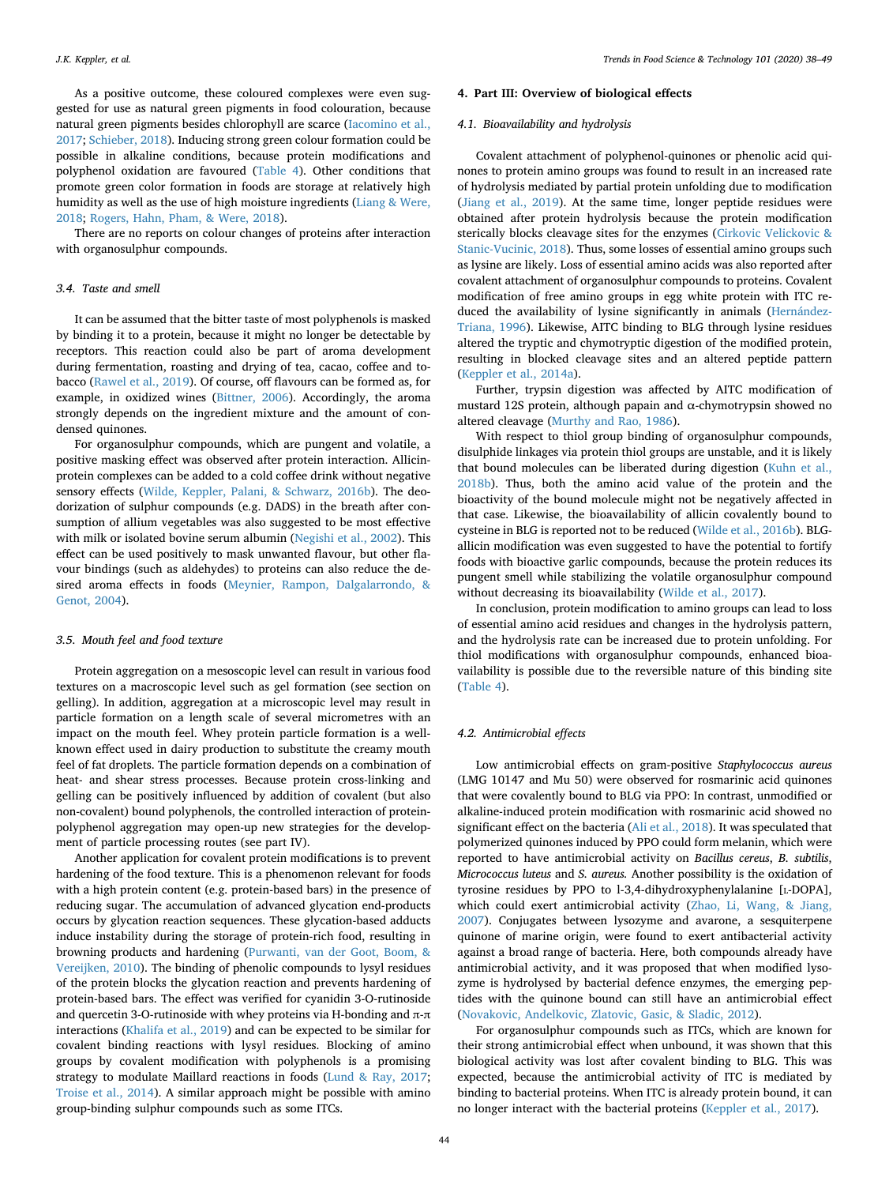As a positive outcome, these coloured complexes were even suggested for use as natural green pigments in food colouration, because natural green pigments besides chlorophyll are scarce ([Iacomino et al.,](#page-9-31) [2017;](#page-9-31) [Schieber, 2018](#page-10-9)). Inducing strong green colour formation could be possible in alkaline conditions, because protein modifications and polyphenol oxidation are favoured [\(Table 4](#page-5-0)). Other conditions that promote green color formation in foods are storage at relatively high humidity as well as the use of high moisture ingredients ([Liang & Were,](#page-9-32) [2018;](#page-9-32) [Rogers, Hahn, Pham, & Were, 2018](#page-10-36)).

There are no reports on colour changes of proteins after interaction with organosulphur compounds.

### *3.4. Taste and smell*

It can be assumed that the bitter taste of most polyphenols is masked by binding it to a protein, because it might no longer be detectable by receptors. This reaction could also be part of aroma development during fermentation, roasting and drying of tea, cacao, coffee and tobacco [\(Rawel et al., 2019\)](#page-10-4). Of course, off flavours can be formed as, for example, in oxidized wines [\(Bittner, 2006](#page-8-0)). Accordingly, the aroma strongly depends on the ingredient mixture and the amount of condensed quinones.

For organosulphur compounds, which are pungent and volatile, a positive masking effect was observed after protein interaction. Allicinprotein complexes can be added to a cold coffee drink without negative sensory effects [\(Wilde, Keppler, Palani, & Schwarz, 2016b](#page-10-37)). The deodorization of sulphur compounds (e.g. DADS) in the breath after consumption of allium vegetables was also suggested to be most effective with milk or isolated bovine serum albumin ([Negishi et al., 2002](#page-10-19)). This effect can be used positively to mask unwanted flavour, but other flavour bindings (such as aldehydes) to proteins can also reduce the desired aroma effects in foods ([Meynier, Rampon, Dalgalarrondo, &](#page-9-33) [Genot, 2004](#page-9-33)).

# *3.5. Mouth feel and food texture*

Protein aggregation on a mesoscopic level can result in various food textures on a macroscopic level such as gel formation (see section on gelling). In addition, aggregation at a microscopic level may result in particle formation on a length scale of several micrometres with an impact on the mouth feel. Whey protein particle formation is a wellknown effect used in dairy production to substitute the creamy mouth feel of fat droplets. The particle formation depends on a combination of heat- and shear stress processes. Because protein cross-linking and gelling can be positively influenced by addition of covalent (but also non-covalent) bound polyphenols, the controlled interaction of proteinpolyphenol aggregation may open-up new strategies for the development of particle processing routes (see part IV).

Another application for covalent protein modifications is to prevent hardening of the food texture. This is a phenomenon relevant for foods with a high protein content (e.g. protein-based bars) in the presence of reducing sugar. The accumulation of advanced glycation end-products occurs by glycation reaction sequences. These glycation-based adducts induce instability during the storage of protein-rich food, resulting in browning products and hardening ([Purwanti, van der Goot, Boom, &](#page-10-38) [Vereijken, 2010\)](#page-10-38). The binding of phenolic compounds to lysyl residues of the protein blocks the glycation reaction and prevents hardening of protein-based bars. The effect was verified for cyanidin 3-O-rutinoside and quercetin 3-O-rutinoside with whey proteins via H-bonding and  $π$ -π interactions ([Khalifa et al., 2019](#page-9-34)) and can be expected to be similar for covalent binding reactions with lysyl residues. Blocking of amino groups by covalent modification with polyphenols is a promising strategy to modulate Maillard reactions in foods ([Lund & Ray, 2017](#page-9-35); [Troise et al., 2014](#page-10-39)). A similar approach might be possible with amino group-binding sulphur compounds such as some ITCs.

#### **4. Part III: Overview of biological effects**

# *4.1. Bioavailability and hydrolysis*

Covalent attachment of polyphenol-quinones or phenolic acid quinones to protein amino groups was found to result in an increased rate of hydrolysis mediated by partial protein unfolding due to modification ([Jiang et al., 2019\)](#page-9-13). At the same time, longer peptide residues were obtained after protein hydrolysis because the protein modification sterically blocks cleavage sites for the enzymes [\(Cirkovic Velickovic &](#page-9-36) [Stanic-Vucinic, 2018\)](#page-9-36). Thus, some losses of essential amino groups such as lysine are likely. Loss of essential amino acids was also reported after covalent attachment of organosulphur compounds to proteins. Covalent modification of free amino groups in egg white protein with ITC reduced the availability of lysine significantly in animals ([Hernández-](#page-9-37)[Triana, 1996\)](#page-9-37). Likewise, AITC binding to BLG through lysine residues altered the tryptic and chymotryptic digestion of the modified protein, resulting in blocked cleavage sites and an altered peptide pattern ([Keppler et al., 2014a](#page-9-20)).

Further, trypsin digestion was affected by AITC modification of mustard 12S protein, although papain and α-chymotrypsin showed no altered cleavage ([Murthy and Rao, 1986\)](#page-9-17).

With respect to thiol group binding of organosulphur compounds, disulphide linkages via protein thiol groups are unstable, and it is likely that bound molecules can be liberated during digestion ([Kuhn et al.,](#page-9-18) [2018b\)](#page-9-18). Thus, both the amino acid value of the protein and the bioactivity of the bound molecule might not be negatively affected in that case. Likewise, the bioavailability of allicin covalently bound to cysteine in BLG is reported not to be reduced [\(Wilde et al., 2016b](#page-10-37)). BLGallicin modification was even suggested to have the potential to fortify foods with bioactive garlic compounds, because the protein reduces its pungent smell while stabilizing the volatile organosulphur compound without decreasing its bioavailability [\(Wilde et al., 2017](#page-10-26)).

In conclusion, protein modification to amino groups can lead to loss of essential amino acid residues and changes in the hydrolysis pattern, and the hydrolysis rate can be increased due to protein unfolding. For thiol modifications with organosulphur compounds, enhanced bioavailability is possible due to the reversible nature of this binding site ([Table 4](#page-5-0)).

#### *4.2. Antimicrobial effects*

Low antimicrobial effects on gram-positive *Staphylococcus aureus* (LMG 10147 and Mu 50) were observed for rosmarinic acid quinones that were covalently bound to BLG via PPO: In contrast, unmodified or alkaline-induced protein modification with rosmarinic acid showed no significant effect on the bacteria ([Ali et al., 2018\)](#page-8-1). It was speculated that polymerized quinones induced by PPO could form melanin, which were reported to have antimicrobial activity on *Bacillus cereus*, *B. subtilis*, *Micrococcus luteus* and *S. aureus.* Another possibility is the oxidation of tyrosine residues by PPO to l-3,4-dihydroxyphenylalanine [L-DOPA], which could exert antimicrobial activity [\(Zhao, Li, Wang, & Jiang,](#page-11-4) [2007\)](#page-11-4). Conjugates between lysozyme and avarone, a sesquiterpene quinone of marine origin, were found to exert antibacterial activity against a broad range of bacteria. Here, both compounds already have antimicrobial activity, and it was proposed that when modified lysozyme is hydrolysed by bacterial defence enzymes, the emerging peptides with the quinone bound can still have an antimicrobial effect ([Novakovic, Andelkovic, Zlatovic, Gasic, & Sladic, 2012\)](#page-10-40).

For organosulphur compounds such as ITCs, which are known for their strong antimicrobial effect when unbound, it was shown that this biological activity was lost after covalent binding to BLG. This was expected, because the antimicrobial activity of ITC is mediated by binding to bacterial proteins. When ITC is already protein bound, it can no longer interact with the bacterial proteins [\(Keppler et al., 2017\)](#page-9-4).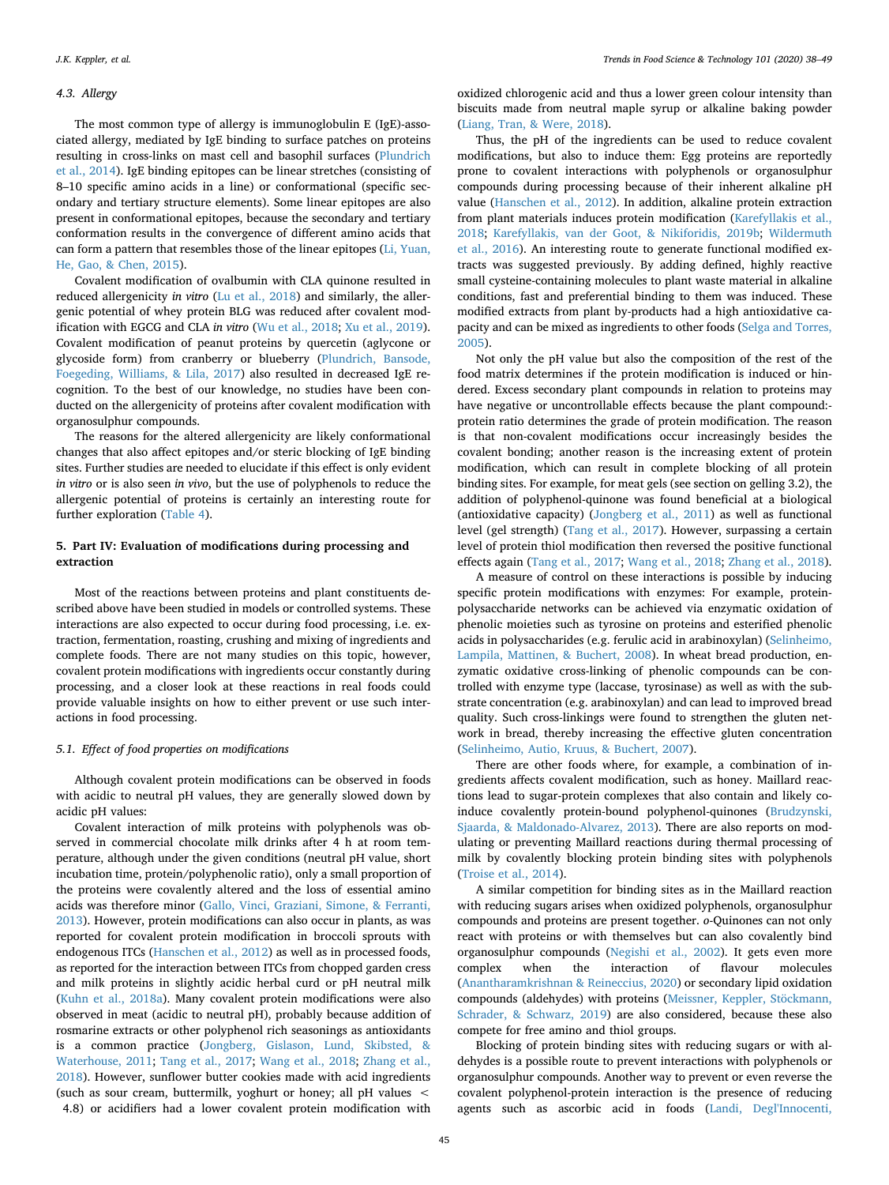# *4.3. Allergy*

The most common type of allergy is immunoglobulin E (IgE)-associated allergy, mediated by IgE binding to surface patches on proteins resulting in cross-links on mast cell and basophil surfaces [\(Plundrich](#page-10-41) [et al., 2014\)](#page-10-41). IgE binding epitopes can be linear stretches (consisting of 8–10 specific amino acids in a line) or conformational (specific secondary and tertiary structure elements). Some linear epitopes are also present in conformational epitopes, because the secondary and tertiary conformation results in the convergence of different amino acids that can form a pattern that resembles those of the linear epitopes [\(Li, Yuan,](#page-9-38) [He, Gao, & Chen, 2015](#page-9-38)).

Covalent modification of ovalbumin with CLA quinone resulted in reduced allergenicity *in vitro* ([Lu et al., 2018](#page-9-39)) and similarly, the allergenic potential of whey protein BLG was reduced after covalent modification with EGCG and CLA *in vitro* [\(Wu et al., 2018;](#page-10-42) [Xu et al., 2019](#page-10-23)). Covalent modification of peanut proteins by quercetin (aglycone or glycoside form) from cranberry or blueberry ([Plundrich, Bansode,](#page-10-43) [Foegeding, Williams, & Lila, 2017](#page-10-43)) also resulted in decreased IgE recognition. To the best of our knowledge, no studies have been conducted on the allergenicity of proteins after covalent modification with organosulphur compounds.

The reasons for the altered allergenicity are likely conformational changes that also affect epitopes and/or steric blocking of IgE binding sites. Further studies are needed to elucidate if this effect is only evident *in vitro* or is also seen *in vivo*, but the use of polyphenols to reduce the allergenic potential of proteins is certainly an interesting route for further exploration ([Table 4](#page-5-0)).

# **5. Part IV: Evaluation of modifications during processing and extraction**

Most of the reactions between proteins and plant constituents described above have been studied in models or controlled systems. These interactions are also expected to occur during food processing, i.e. extraction, fermentation, roasting, crushing and mixing of ingredients and complete foods. There are not many studies on this topic, however, covalent protein modifications with ingredients occur constantly during processing, and a closer look at these reactions in real foods could provide valuable insights on how to either prevent or use such interactions in food processing.

# *5.1. Effect of food properties on modifications*

Although covalent protein modifications can be observed in foods with acidic to neutral pH values, they are generally slowed down by acidic pH values:

Covalent interaction of milk proteins with polyphenols was observed in commercial chocolate milk drinks after 4 h at room temperature, although under the given conditions (neutral pH value, short incubation time, protein/polyphenolic ratio), only a small proportion of the proteins were covalently altered and the loss of essential amino acids was therefore minor ([Gallo, Vinci, Graziani, Simone, & Ferranti,](#page-9-12) [2013\)](#page-9-12). However, protein modifications can also occur in plants, as was reported for covalent protein modification in broccoli sprouts with endogenous ITCs ([Hanschen et al., 2012\)](#page-9-16) as well as in processed foods, as reported for the interaction between ITCs from chopped garden cress and milk proteins in slightly acidic herbal curd or pH neutral milk ([Kuhn et al., 2018a\)](#page-9-2). Many covalent protein modifications were also observed in meat (acidic to neutral pH), probably because addition of rosmarine extracts or other polyphenol rich seasonings as antioxidants is a common practice ([Jongberg, Gislason, Lund, Skibsted, &](#page-9-40) [Waterhouse, 2011](#page-9-40); [Tang et al., 2017](#page-10-28); [Wang et al., 2018](#page-10-29); [Zhang et al.,](#page-11-3) [2018\)](#page-11-3). However, sunflower butter cookies made with acid ingredients (such as sour cream, buttermilk, yoghurt or honey; all pH values < 4.8) or acidifiers had a lower covalent protein modification with

oxidized chlorogenic acid and thus a lower green colour intensity than biscuits made from neutral maple syrup or alkaline baking powder ([Liang, Tran, & Were, 2018\)](#page-9-41).

Thus, the pH of the ingredients can be used to reduce covalent modifications, but also to induce them: Egg proteins are reportedly prone to covalent interactions with polyphenols or organosulphur compounds during processing because of their inherent alkaline pH value ([Hanschen et al., 2012](#page-9-16)). In addition, alkaline protein extraction from plant materials induces protein modification [\(Karefyllakis et al.,](#page-9-3) [2018;](#page-9-3) [Karefyllakis, van der Goot, & Nikiforidis, 2019b](#page-9-42); [Wildermuth](#page-10-32) [et al., 2016\)](#page-10-32). An interesting route to generate functional modified extracts was suggested previously. By adding defined, highly reactive small cysteine-containing molecules to plant waste material in alkaline conditions, fast and preferential binding to them was induced. These modified extracts from plant by-products had a high antioxidative capacity and can be mixed as ingredients to other foods [\(Selga and Torres,](#page-10-44) [2005\)](#page-10-44).

Not only the pH value but also the composition of the rest of the food matrix determines if the protein modification is induced or hindered. Excess secondary plant compounds in relation to proteins may have negative or uncontrollable effects because the plant compound: protein ratio determines the grade of protein modification. The reason is that non-covalent modifications occur increasingly besides the covalent bonding; another reason is the increasing extent of protein modification, which can result in complete blocking of all protein binding sites. For example, for meat gels (see section on gelling 3.2), the addition of polyphenol-quinone was found beneficial at a biological (antioxidative capacity) ([Jongberg et al., 2011](#page-9-40)) as well as functional level (gel strength) [\(Tang et al., 2017\)](#page-10-28). However, surpassing a certain level of protein thiol modification then reversed the positive functional effects again [\(Tang et al., 2017](#page-10-28); [Wang et al., 2018](#page-10-29); [Zhang et al., 2018](#page-11-3)).

A measure of control on these interactions is possible by inducing specific protein modifications with enzymes: For example, proteinpolysaccharide networks can be achieved via enzymatic oxidation of phenolic moieties such as tyrosine on proteins and esterified phenolic acids in polysaccharides (e.g. ferulic acid in arabinoxylan) [\(Selinheimo,](#page-10-45) [Lampila, Mattinen, & Buchert, 2008\)](#page-10-45). In wheat bread production, enzymatic oxidative cross-linking of phenolic compounds can be controlled with enzyme type (laccase, tyrosinase) as well as with the substrate concentration (e.g. arabinoxylan) and can lead to improved bread quality. Such cross-linkings were found to strengthen the gluten network in bread, thereby increasing the effective gluten concentration ([Selinheimo, Autio, Kruus, & Buchert, 2007\)](#page-10-46).

There are other foods where, for example, a combination of ingredients affects covalent modification, such as honey. Maillard reactions lead to sugar-protein complexes that also contain and likely coinduce covalently protein-bound polyphenol-quinones [\(Brudzynski,](#page-8-10) [Sjaarda, & Maldonado-Alvarez, 2013](#page-8-10)). There are also reports on modulating or preventing Maillard reactions during thermal processing of milk by covalently blocking protein binding sites with polyphenols ([Troise et al., 2014\)](#page-10-39).

A similar competition for binding sites as in the Maillard reaction with reducing sugars arises when oxidized polyphenols, organosulphur compounds and proteins are present together. *o*-Quinones can not only react with proteins or with themselves but can also covalently bind organosulphur compounds [\(Negishi et al., 2002\)](#page-10-19). It gets even more complex when the interaction of flavour molecules ([Anantharamkrishnan & Reineccius, 2020\)](#page-8-4) or secondary lipid oxidation compounds (aldehydes) with proteins ([Meissner, Keppler, Stöckmann,](#page-9-43) [Schrader, & Schwarz, 2019\)](#page-9-43) are also considered, because these also compete for free amino and thiol groups.

Blocking of protein binding sites with reducing sugars or with aldehydes is a possible route to prevent interactions with polyphenols or organosulphur compounds. Another way to prevent or even reverse the covalent polyphenol-protein interaction is the presence of reducing agents such as ascorbic acid in foods ([Landi, Degl'Innocenti,](#page-9-44)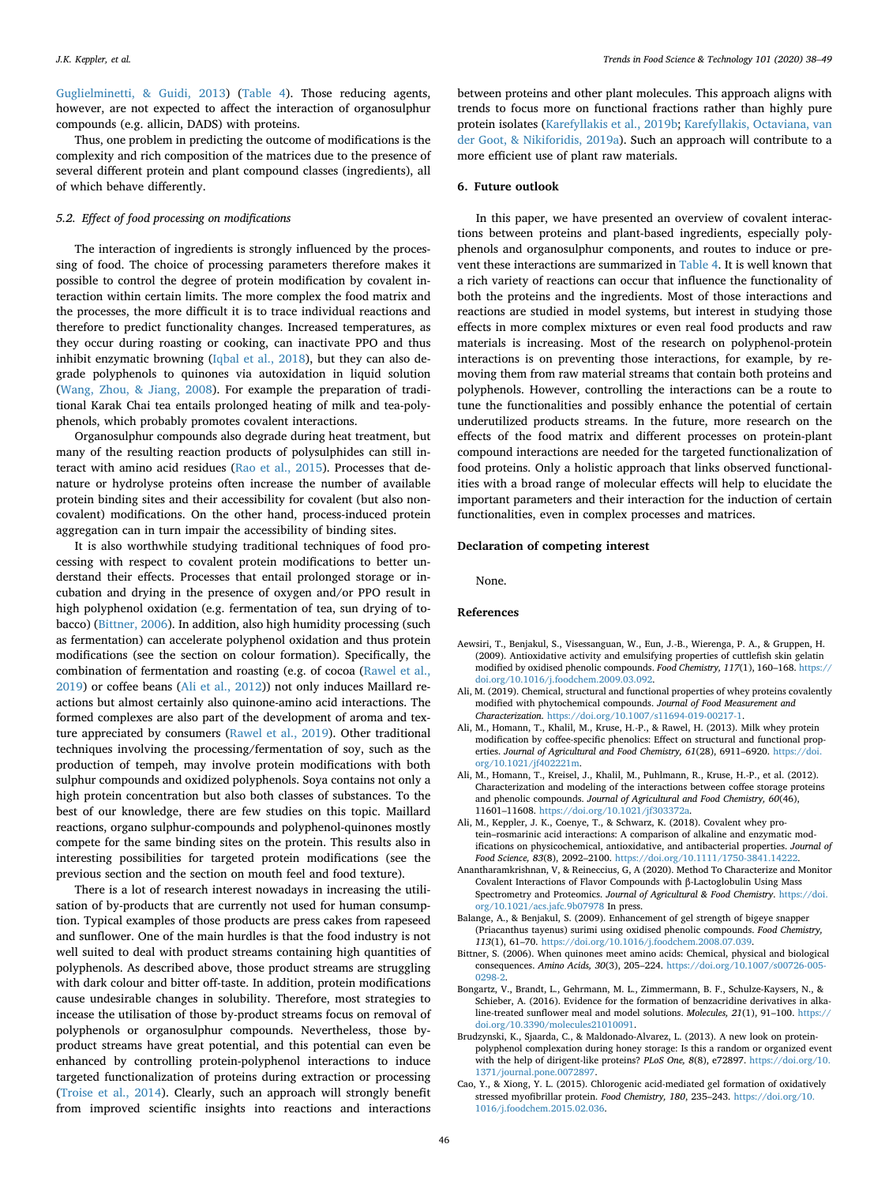[Guglielminetti, & Guidi, 2013](#page-9-44)) [\(Table 4\)](#page-5-0). Those reducing agents, however, are not expected to affect the interaction of organosulphur compounds (e.g. allicin, DADS) with proteins.

Thus, one problem in predicting the outcome of modifications is the complexity and rich composition of the matrices due to the presence of several different protein and plant compound classes (ingredients), all of which behave differently.

# *5.2. Effect of food processing on modifications*

The interaction of ingredients is strongly influenced by the processing of food. The choice of processing parameters therefore makes it possible to control the degree of protein modification by covalent interaction within certain limits. The more complex the food matrix and the processes, the more difficult it is to trace individual reactions and therefore to predict functionality changes. Increased temperatures, as they occur during roasting or cooking, can inactivate PPO and thus inhibit enzymatic browning ([Iqbal et al., 2018\)](#page-9-45), but they can also degrade polyphenols to quinones via autoxidation in liquid solution ([Wang, Zhou, & Jiang, 2008](#page-10-47)). For example the preparation of traditional Karak Chai tea entails prolonged heating of milk and tea-polyphenols, which probably promotes covalent interactions.

Organosulphur compounds also degrade during heat treatment, but many of the resulting reaction products of polysulphides can still interact with amino acid residues ([Rao et al., 2015](#page-10-48)). Processes that denature or hydrolyse proteins often increase the number of available protein binding sites and their accessibility for covalent (but also noncovalent) modifications. On the other hand, process-induced protein aggregation can in turn impair the accessibility of binding sites.

It is also worthwhile studying traditional techniques of food processing with respect to covalent protein modifications to better understand their effects. Processes that entail prolonged storage or incubation and drying in the presence of oxygen and/or PPO result in high polyphenol oxidation (e.g. fermentation of tea, sun drying of tobacco) ([Bittner, 2006](#page-8-0)). In addition, also high humidity processing (such as fermentation) can accelerate polyphenol oxidation and thus protein modifications (see the section on colour formation). Specifically, the combination of fermentation and roasting (e.g. of cocoa ([Rawel et al.,](#page-10-4) [2019\)](#page-10-4) or coffee beans [\(Ali et al., 2012](#page-8-3))) not only induces Maillard reactions but almost certainly also quinone-amino acid interactions. The formed complexes are also part of the development of aroma and texture appreciated by consumers ([Rawel et al., 2019](#page-10-4)). Other traditional techniques involving the processing/fermentation of soy, such as the production of tempeh, may involve protein modifications with both sulphur compounds and oxidized polyphenols. Soya contains not only a high protein concentration but also both classes of substances. To the best of our knowledge, there are few studies on this topic. Maillard reactions, organo sulphur-compounds and polyphenol-quinones mostly compete for the same binding sites on the protein. This results also in interesting possibilities for targeted protein modifications (see the previous section and the section on mouth feel and food texture).

There is a lot of research interest nowadays in increasing the utilisation of by-products that are currently not used for human consumption. Typical examples of those products are press cakes from rapeseed and sunflower. One of the main hurdles is that the food industry is not well suited to deal with product streams containing high quantities of polyphenols. As described above, those product streams are struggling with dark colour and bitter off-taste. In addition, protein modifications cause undesirable changes in solubility. Therefore, most strategies to incease the utilisation of those by-product streams focus on removal of polyphenols or organosulphur compounds. Nevertheless, those byproduct streams have great potential, and this potential can even be enhanced by controlling protein-polyphenol interactions to induce targeted functionalization of proteins during extraction or processing ([Troise et al., 2014](#page-10-39)). Clearly, such an approach will strongly benefit from improved scientific insights into reactions and interactions between proteins and other plant molecules. This approach aligns with trends to focus more on functional fractions rather than highly pure protein isolates ([Karefyllakis et al., 2019b](#page-9-42); [Karefyllakis, Octaviana, van](#page-9-46) [der Goot, & Nikiforidis, 2019a\)](#page-9-46). Such an approach will contribute to a more efficient use of plant raw materials.

# **6. Future outlook**

In this paper, we have presented an overview of covalent interactions between proteins and plant-based ingredients, especially polyphenols and organosulphur components, and routes to induce or prevent these interactions are summarized in [Table 4](#page-5-0). It is well known that a rich variety of reactions can occur that influence the functionality of both the proteins and the ingredients. Most of those interactions and reactions are studied in model systems, but interest in studying those effects in more complex mixtures or even real food products and raw materials is increasing. Most of the research on polyphenol-protein interactions is on preventing those interactions, for example, by removing them from raw material streams that contain both proteins and polyphenols. However, controlling the interactions can be a route to tune the functionalities and possibly enhance the potential of certain underutilized products streams. In the future, more research on the effects of the food matrix and different processes on protein-plant compound interactions are needed for the targeted functionalization of food proteins. Only a holistic approach that links observed functionalities with a broad range of molecular effects will help to elucidate the important parameters and their interaction for the induction of certain functionalities, even in complex processes and matrices.

# **Declaration of competing interest**

None.

# **References**

- <span id="page-8-5"></span>Aewsiri, T., Benjakul, S., Visessanguan, W., Eun, J.-B., Wierenga, P. A., & Gruppen, H. (2009). Antioxidative activity and emulsifying properties of cuttlefish skin gelatin modified by oxidised phenolic compounds. *Food Chemistry, 117*(1), 160–168. [https://](https://doi.org/10.1016/j.foodchem.2009.03.092) [doi.org/10.1016/j.foodchem.2009.03.092](https://doi.org/10.1016/j.foodchem.2009.03.092).
- <span id="page-8-2"></span>Ali, M. (2019). Chemical, structural and functional properties of whey proteins covalently modified with phytochemical compounds. *Journal of Food Measurement and Characterization*. <https://doi.org/10.1007/s11694-019-00217-1>.
- <span id="page-8-6"></span>Ali, M., Homann, T., Khalil, M., Kruse, H.-P., & Rawel, H. (2013). Milk whey protein modification by coffee-specific phenolics: Effect on structural and functional properties. *Journal of Agricultural and Food Chemistry, 61*(28), 6911–6920. [https://doi.](https://doi.org/10.1021/jf402221m) [org/10.1021/jf402221m](https://doi.org/10.1021/jf402221m).
- <span id="page-8-3"></span>Ali, M., Homann, T., Kreisel, J., Khalil, M., Puhlmann, R., Kruse, H.-P., et al. (2012). Characterization and modeling of the interactions between coffee storage proteins and phenolic compounds. *Journal of Agricultural and Food Chemistry, 60*(46), 11601–11608. <https://doi.org/10.1021/jf303372a>.
- <span id="page-8-1"></span>Ali, M., Keppler, J. K., Coenye, T., & Schwarz, K. (2018). Covalent whey protein–rosmarinic acid interactions: A comparison of alkaline and enzymatic modifications on physicochemical, antioxidative, and antibacterial properties. *Journal of Food Science, 83*(8), 2092–2100. [https://doi.org/10.1111/1750-3841.14222.](https://doi.org/10.1111/1750-3841.14222)
- <span id="page-8-4"></span>Anantharamkrishnan, V, & Reineccius, G, A (2020). Method To Characterize and Monitor Covalent Interactions of Flavor Compounds with β-Lactoglobulin Using Mass Spectrometry and Proteomics. *Journal of Agricultural & Food Chemistry*. [https://doi.](https://doi.org/10.1021/acs.jafc.9b07978) [org/10.1021/acs.jafc.9b07978](https://doi.org/10.1021/acs.jafc.9b07978) In press.
- <span id="page-8-8"></span>Balange, A., & Benjakul, S. (2009). Enhancement of gel strength of bigeye snapper (Priacanthus tayenus) surimi using oxidised phenolic compounds. *Food Chemistry, 113*(1), 61–70. [https://doi.org/10.1016/j.foodchem.2008.07.039.](https://doi.org/10.1016/j.foodchem.2008.07.039)
- <span id="page-8-0"></span>Bittner, S. (2006). When quinones meet amino acids: Chemical, physical and biological consequences. *Amino Acids, 30*(3), 205–224. [https://doi.org/10.1007/s00726-005-](https://doi.org/10.1007/s00726-005-0298-2) [0298-2.](https://doi.org/10.1007/s00726-005-0298-2)
- <span id="page-8-9"></span>Bongartz, V., Brandt, L., Gehrmann, M. L., Zimmermann, B. F., Schulze-Kaysers, N., & Schieber, A. (2016). Evidence for the formation of benzacridine derivatives in alkaline-treated sunflower meal and model solutions. *Molecules, 21*(1), 91–100. [https://](https://doi.org/10.3390/molecules21010091) [doi.org/10.3390/molecules21010091.](https://doi.org/10.3390/molecules21010091)
- <span id="page-8-10"></span>Brudzynski, K., Sjaarda, C., & Maldonado-Alvarez, L. (2013). A new look on proteinpolyphenol complexation during honey storage: Is this a random or organized event with the help of dirigent-like proteins? *PLoS One, 8*(8), e72897. [https://doi.org/10.](https://doi.org/10.1371/journal.pone.0072897) [1371/journal.pone.0072897.](https://doi.org/10.1371/journal.pone.0072897)
- <span id="page-8-7"></span>Cao, Y., & Xiong, Y. L. (2015). Chlorogenic acid-mediated gel formation of oxidatively stressed myofibrillar protein. *Food Chemistry, 180*, 235–243. [https://doi.org/10.](https://doi.org/10.1016/j.foodchem.2015.02.036) [1016/j.foodchem.2015.02.036](https://doi.org/10.1016/j.foodchem.2015.02.036).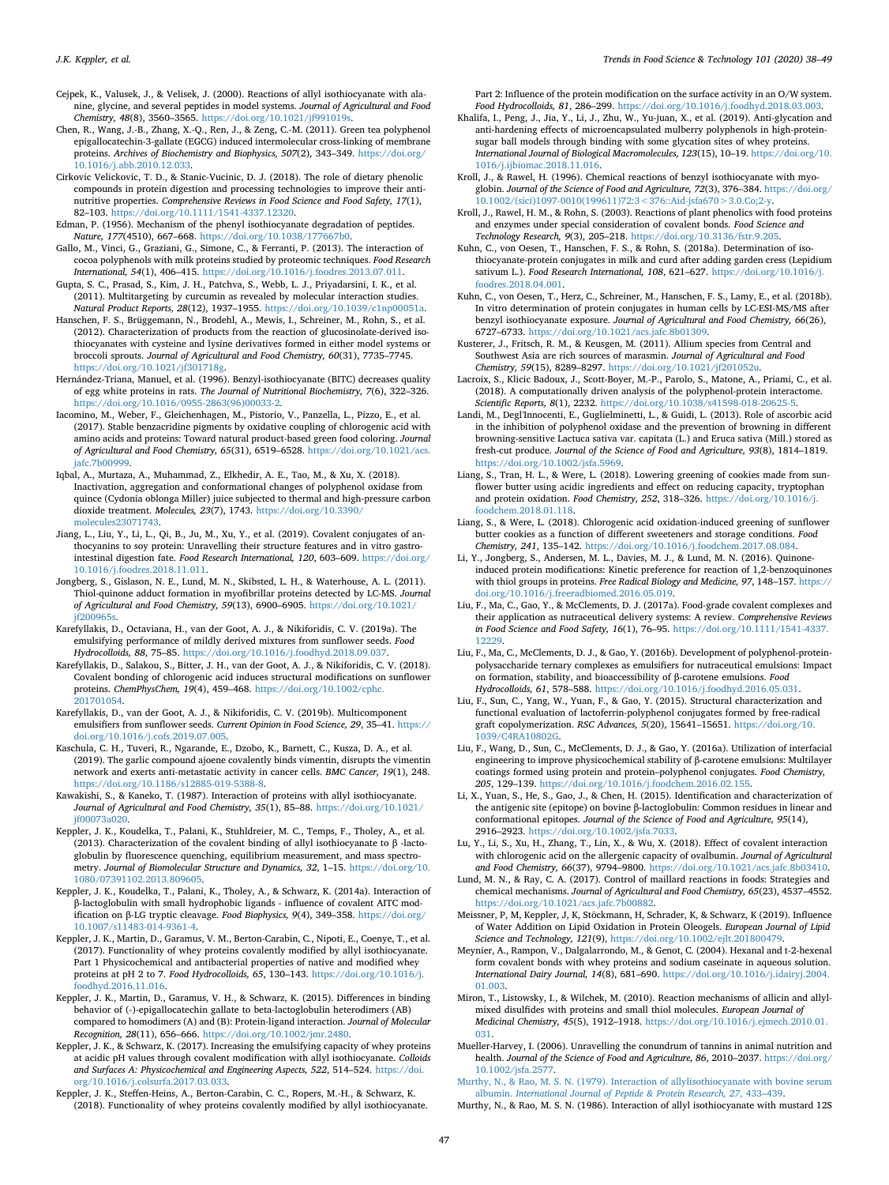- <span id="page-9-21"></span>Cejpek, K., Valusek, J., & Velisek, J. (2000). Reactions of allyl isothiocyanate with alanine, glycine, and several peptides in model systems. *Journal of Agricultural and Food Chemistry, 48*(8), 3560–3565. <https://doi.org/10.1021/jf991019s>.
- <span id="page-9-10"></span>Chen, R., Wang, J.-B., Zhang, X.-Q., Ren, J., & Zeng, C.-M. (2011). Green tea polyphenol epigallocatechin-3-gallate (EGCG) induced intermolecular cross-linking of membrane proteins. *Archives of Biochemistry and Biophysics, 507*(2), 343–349. [https://doi.org/](https://doi.org/10.1016/j.abb.2010.12.033) [10.1016/j.abb.2010.12.033.](https://doi.org/10.1016/j.abb.2010.12.033)
- <span id="page-9-36"></span>Cirkovic Velickovic, T. D., & Stanic-Vucinic, D. J. (2018). The role of dietary phenolic compounds in protein digestion and processing technologies to improve their antinutritive properties. *Comprehensive Reviews in Food Science and Food Safety, 17*(1), 82–103. [https://doi.org/10.1111/1541-4337.12320.](https://doi.org/10.1111/1541-4337.12320)
- <span id="page-9-14"></span>Edman, P. (1956). Mechanism of the phenyl isothiocyanate degradation of peptides. *Nature, 177*(4510), 667–668. [https://doi.org/10.1038/177667b0.](https://doi.org/10.1038/177667b0)
- <span id="page-9-12"></span>Gallo, M., Vinci, G., Graziani, G., Simone, C., & Ferranti, P. (2013). The interaction of cocoa polyphenols with milk proteins studied by proteomic techniques. *Food Research International, 54*(1), 406–415. [https://doi.org/10.1016/j.foodres.2013.07.011.](https://doi.org/10.1016/j.foodres.2013.07.011)
- <span id="page-9-9"></span>Gupta, S. C., Prasad, S., Kim, J. H., Patchva, S., Webb, L. J., Priyadarsini, I. K., et al. (2011). Multitargeting by curcumin as revealed by molecular interaction studies. *Natural Product Reports, 28*(12), 1937–1955. <https://doi.org/10.1039/c1np00051a>.
- <span id="page-9-16"></span>Hanschen, F. S., Brüggemann, N., Brodehl, A., Mewis, I., Schreiner, M., Rohn, S., et al. (2012). Characterization of products from the reaction of glucosinolate-derived isothiocyanates with cysteine and lysine derivatives formed in either model systems or broccoli sprouts. *Journal of Agricultural and Food Chemistry, 60*(31), 7735–7745. <https://doi.org/10.1021/jf301718g>.
- <span id="page-9-37"></span>Hernández-Triana, Manuel, et al. (1996). Benzyl-isothiocyanate (BITC) decreases quality of egg white proteins in rats. *The Journal of Nutritional Biochemistry, 7*(6), 322–326. [https://doi.org/10.1016/0955-2863\(96\)00033-2.](https://doi.org/10.1016/0955-2863(96)00033-2)
- <span id="page-9-31"></span>Iacomino, M., Weber, F., Gleichenhagen, M., Pistorio, V., Panzella, L., Pizzo, E., et al. (2017). Stable benzacridine pigments by oxidative coupling of chlorogenic acid with amino acids and proteins: Toward natural product-based green food coloring. *Journal of Agricultural and Food Chemistry, 65*(31), 6519–6528. [https://doi.org/10.1021/acs.](https://doi.org/10.1021/acs.jafc.7b00999) [jafc.7b00999.](https://doi.org/10.1021/acs.jafc.7b00999)
- <span id="page-9-45"></span>Iqbal, A., Murtaza, A., Muhammad, Z., Elkhedir, A. E., Tao, M., & Xu, X. (2018). Inactivation, aggregation and conformational changes of polyphenol oxidase from quince (Cydonia oblonga Miller) juice subjected to thermal and high-pressure carbon dioxide treatment. *Molecules, 23*(7), 1743. [https://doi.org/10.3390/](https://doi.org/10.3390/molecules23071743) [molecules23071743](https://doi.org/10.3390/molecules23071743).
- <span id="page-9-13"></span>Jiang, L., Liu, Y., Li, L., Qi, B., Ju, M., Xu, Y., et al. (2019). Covalent conjugates of anthocyanins to soy protein: Unravelling their structure features and in vitro gastrointestinal digestion fate. *Food Research International, 120*, 603–609. [https://doi.org/](https://doi.org/10.1016/j.foodres.2018.11.011) [10.1016/j.foodres.2018.11.011](https://doi.org/10.1016/j.foodres.2018.11.011).
- <span id="page-9-40"></span>Jongberg, S., Gislason, N. E., Lund, M. N., Skibsted, L. H., & Waterhouse, A. L. (2011). Thiol-quinone adduct formation in myofibrillar proteins detected by LC-MS. *Journal of Agricultural and Food Chemistry, 59*(13), 6900–6905. [https://doi.org/10.1021/](https://doi.org/10.1021/jf200965s) if200965s.
- <span id="page-9-46"></span>Karefyllakis, D., Octaviana, H., van der Goot, A. J., & Nikiforidis, C. V. (2019a). The emulsifying performance of mildly derived mixtures from sunflower seeds. *Food Hydrocolloids, 88*, 75–85. <https://doi.org/10.1016/j.foodhyd.2018.09.037>.
- <span id="page-9-3"></span>Karefyllakis, D., Salakou, S., Bitter, J. H., van der Goot, A. J., & Nikiforidis, C. V. (2018). Covalent bonding of chlorogenic acid induces structural modifications on sunflower proteins. *ChemPhysChem, 19*(4), 459–468. [https://doi.org/10.1002/cphc.](https://doi.org/10.1002/cphc.201701054) [201701054.](https://doi.org/10.1002/cphc.201701054)
- <span id="page-9-42"></span>Karefyllakis, D., van der Goot, A. J., & Nikiforidis, C. V. (2019b). Multicomponent emulsifiers from sunflower seeds. *Current Opinion in Food Science, 29*, 35–41. [https://](https://doi.org/10.1016/j.cofs.2019.07.005) [doi.org/10.1016/j.cofs.2019.07.005.](https://doi.org/10.1016/j.cofs.2019.07.005)
- <span id="page-9-22"></span>Kaschula, C. H., Tuveri, R., Ngarande, E., Dzobo, K., Barnett, C., Kusza, D. A., et al. (2019). The garlic compound ajoene covalently binds vimentin, disrupts the vimentin network and exerts anti-metastatic activity in cancer cells. *BMC Cancer, 19*(1), 248. [https://doi.org/10.1186/s12885-019-5388-8.](https://doi.org/10.1186/s12885-019-5388-8)
- <span id="page-9-24"></span>Kawakishi, S., & Kaneko, T. (1987). Interaction of proteins with allyl isothiocyanate. *Journal of Agricultural and Food Chemistry, 35*(1), 85–88. [https://doi.org/10.1021/](https://doi.org/10.1021/jf00073a020) [jf00073a020](https://doi.org/10.1021/jf00073a020).
- <span id="page-9-19"></span>Keppler, J. K., Koudelka, T., Palani, K., Stuhldreier, M. C., Temps, F., Tholey, A., et al. (2013). Characterization of the covalent binding of allyl isothiocyanate to β -lactoglobulin by fluorescence quenching, equilibrium measurement, and mass spectrometry. *Journal of Biomolecular Structure and Dynamics, 32*, 1–15. [https://doi.org/10.](https://doi.org/10.1080/07391102.2013.809605) [1080/07391102.2013.809605](https://doi.org/10.1080/07391102.2013.809605).
- <span id="page-9-20"></span>Keppler, J. K., Koudelka, T., Palani, K., Tholey, A., & Schwarz, K. (2014a). Interaction of β-lactoglobulin with small hydrophobic ligands - influence of covalent AITC modification on β-LG tryptic cleavage. *Food Biophysics, 9*(4), 349–358. [https://doi.org/](https://doi.org/10.1007/s11483-014-9361-4) [10.1007/s11483-014-9361-4](https://doi.org/10.1007/s11483-014-9361-4).
- <span id="page-9-4"></span>Keppler, J. K., Martin, D., Garamus, V. M., Berton-Carabin, C., Nipoti, E., Coenye, T., et al. (2017). Functionality of whey proteins covalently modified by allyl isothiocyanate. Part 1 Physicochemical and antibacterial properties of native and modified whey proteins at pH 2 to 7. *Food Hydrocolloids, 65*, 130–143. [https://doi.org/10.1016/j.](https://doi.org/10.1016/j.foodhyd.2016.11.016) [foodhyd.2016.11.016](https://doi.org/10.1016/j.foodhyd.2016.11.016).
- <span id="page-9-1"></span>Keppler, J. K., Martin, D., Garamus, V. H., & Schwarz, K. (2015). Differences in binding behavior of (-)-epigallocatechin gallate to beta-lactoglobulin heterodimers (AB) compared to homodimers (A) and (B): Protein-ligand interaction. *Journal of Molecular Recognition, 28*(11), 656–666. [https://doi.org/10.1002/jmr.2480.](https://doi.org/10.1002/jmr.2480)
- <span id="page-9-27"></span>Keppler, J. K., & Schwarz, K. (2017). Increasing the emulsifying capacity of whey proteins at acidic pH values through covalent modification with allyl isothiocyanate. *Colloids and Surfaces A: Physicochemical and Engineering Aspects, 522*, 514–524. [https://doi.](https://doi.org/10.1016/j.colsurfa.2017.03.033) [org/10.1016/j.colsurfa.2017.03.033](https://doi.org/10.1016/j.colsurfa.2017.03.033).
- <span id="page-9-28"></span>Keppler, J. K., Steffen-Heins, A., Berton-Carabin, C. C., Ropers, M.-H., & Schwarz, K. (2018). Functionality of whey proteins covalently modified by allyl isothiocyanate.

#### Part 2: Influence of the protein modification on the surface activity in an O/W system. *Food Hydrocolloids, 81*, 286–299. <https://doi.org/10.1016/j.foodhyd.2018.03.003>.

- <span id="page-9-34"></span>Khalifa, I., Peng, J., Jia, Y., Li, J., Zhu, W., Yu-juan, X., et al. (2019). Anti-glycation and anti-hardening effects of microencapsulated mulberry polyphenols in high-proteinsugar ball models through binding with some glycation sites of whey proteins. *International Journal of Biological Macromolecules, 123*(15), 10–19. [https://doi.org/10.](https://doi.org/10.1016/j.ijbiomac.2018.11.016) [1016/j.ijbiomac.2018.11.016.](https://doi.org/10.1016/j.ijbiomac.2018.11.016)
- <span id="page-9-15"></span>Kroll, J., & Rawel, H. (1996). Chemical reactions of benzyl isothiocyanate with myoglobin. *Journal of the Science of Food and Agriculture, 72*(3), 376–384. [https://doi.org/](https://doi.org/10.1002/(sici)1097-0010(199611)72:3<376::Aid-jsfa670>3.0.Co;2-y) [10.1002/\(sici\)1097-0010\(199611\)72:3<376::Aid-jsfa670>3.0.Co;2-y](https://doi.org/10.1002/(sici)1097-0010(199611)72:3<376::Aid-jsfa670>3.0.Co;2-y).
- <span id="page-9-7"></span>Kroll, J., Rawel, H. M., & Rohn, S. (2003). Reactions of plant phenolics with food proteins and enzymes under special consideration of covalent bonds. *Food Science and Technology Research, 9*(3), 205–218. [https://doi.org/10.3136/fstr.9.205.](https://doi.org/10.3136/fstr.9.205)
- <span id="page-9-2"></span>Kuhn, C., von Oesen, T., Hanschen, F. S., & Rohn, S. (2018a). Determination of isothiocyanate-protein conjugates in milk and curd after adding garden cress (Lepidium sativum L.). *Food Research International, 108*, 621–627. [https://doi.org/10.1016/j.](https://doi.org/10.1016/j.foodres.2018.04.001) [foodres.2018.04.001.](https://doi.org/10.1016/j.foodres.2018.04.001)
- <span id="page-9-18"></span>Kuhn, C., von Oesen, T., Herz, C., Schreiner, M., Hanschen, F. S., Lamy, E., et al. (2018b). In vitro determination of protein conjugates in human cells by LC-ESI-MS/MS after benzyl isothiocyanate exposure. *Journal of Agricultural and Food Chemistry, 66*(26), 6727–6733. [https://doi.org/10.1021/acs.jafc.8b01309.](https://doi.org/10.1021/acs.jafc.8b01309)
- <span id="page-9-11"></span>Kusterer, J., Fritsch, R. M., & Keusgen, M. (2011). Allium species from Central and Southwest Asia are rich sources of marasmin. *Journal of Agricultural and Food Chemistry, 59*(15), 8289–8297. [https://doi.org/10.1021/jf201052u.](https://doi.org/10.1021/jf201052u)
- <span id="page-9-0"></span>Lacroix, S., Klicic Badoux, J., Scott-Boyer, M.-P., Parolo, S., Matone, A., Priami, C., et al. (2018). A computationally driven analysis of the polyphenol-protein interactome. *Scientific Reports, 8*(1), 2232. <https://doi.org/10.1038/s41598-018-20625-5>.
- <span id="page-9-44"></span>Landi, M., Degl'Innocenti, E., Guglielminetti, L., & Guidi, L. (2013). Role of ascorbic acid in the inhibition of polyphenol oxidase and the prevention of browning in different browning-sensitive Lactuca sativa var. capitata (L.) and Eruca sativa (Mill.) stored as fresh-cut produce. *Journal of the Science of Food and Agriculture, 93*(8), 1814–1819. <https://doi.org/10.1002/jsfa.5969>.
- <span id="page-9-41"></span>Liang, S., Tran, H. L., & Were, L. (2018). Lowering greening of cookies made from sunflower butter using acidic ingredients and effect on reducing capacity, tryptophan and protein oxidation. *Food Chemistry, 252*, 318–326. [https://doi.org/10.1016/j.](https://doi.org/10.1016/j.foodchem.2018.01.118) [foodchem.2018.01.118](https://doi.org/10.1016/j.foodchem.2018.01.118).
- <span id="page-9-32"></span>Liang, S., & Were, L. (2018). Chlorogenic acid oxidation-induced greening of sunflower butter cookies as a function of different sweeteners and storage conditions. *Food Chemistry, 241*, 135–142. <https://doi.org/10.1016/j.foodchem.2017.08.084>.
- <span id="page-9-8"></span>Li, Y., Jongberg, S., Andersen, M. L., Davies, M. J., & Lund, M. N. (2016). Quinoneinduced protein modifications: Kinetic preference for reaction of 1,2-benzoquinones with thiol groups in proteins. *Free Radical Biology and Medicine, 97*, 148–157. [https://](https://doi.org/10.1016/j.freeradbiomed.2016.05.019) [doi.org/10.1016/j.freeradbiomed.2016.05.019.](https://doi.org/10.1016/j.freeradbiomed.2016.05.019)
- <span id="page-9-6"></span>Liu, F., Ma, C., Gao, Y., & McClements, D. J. (2017a). Food-grade covalent complexes and their application as nutraceutical delivery systems: A review. *Comprehensive Reviews in Food Science and Food Safety, 16*(1), 76–95. [https://doi.org/10.1111/1541-4337.](https://doi.org/10.1111/1541-4337.12229) [12229.](https://doi.org/10.1111/1541-4337.12229)
- <span id="page-9-29"></span>Liu, F., Ma, C., McClements, D. J., & Gao, Y. (2016b). Development of polyphenol-proteinpolysaccharide ternary complexes as emulsifiers for nutraceutical emulsions: Impact on formation, stability, and bioaccessibility of β-carotene emulsions. *Food Hydrocolloids, 61*, 578–588. <https://doi.org/10.1016/j.foodhyd.2016.05.031>.
- <span id="page-9-30"></span>Liu, F., Sun, C., Yang, W., Yuan, F., & Gao, Y. (2015). Structural characterization and functional evaluation of lactoferrin-polyphenol conjugates formed by free-radical graft copolymerization. *RSC Advances, 5*(20), 15641–15651. [https://doi.org/10.](https://doi.org/10.1039/C4RA10802G) [1039/C4RA10802G](https://doi.org/10.1039/C4RA10802G).
- <span id="page-9-26"></span>Liu, F., Wang, D., Sun, C., McClements, D. J., & Gao, Y. (2016a). Utilization of interfacial engineering to improve physicochemical stability of β-carotene emulsions: Multilayer coatings formed using protein and protein–polyphenol conjugates. *Food Chemistry, 205*, 129–139. [https://doi.org/10.1016/j.foodchem.2016.02.155.](https://doi.org/10.1016/j.foodchem.2016.02.155)
- <span id="page-9-38"></span>Li, X., Yuan, S., He, S., Gao, J., & Chen, H. (2015). Identification and characterization of the antigenic site (epitope) on bovine β-lactoglobulin: Common residues in linear and conformational epitopes. *Journal of the Science of Food and Agriculture, 95*(14), 2916–2923. <https://doi.org/10.1002/jsfa.7033>.
- <span id="page-9-39"></span>Lu, Y., Li, S., Xu, H., Zhang, T., Lin, X., & Wu, X. (2018). Effect of covalent interaction with chlorogenic acid on the allergenic capacity of ovalbumin. *Journal of Agricultural and Food Chemistry, 66*(37), 9794–9800. [https://doi.org/10.1021/acs.jafc.8b03410.](https://doi.org/10.1021/acs.jafc.8b03410)
- <span id="page-9-35"></span>Lund, M. N., & Ray, C. A. (2017). Control of maillard reactions in foods: Strategies and chemical mechanisms. *Journal of Agricultural and Food Chemistry, 65*(23), 4537–4552. [https://doi.org/10.1021/acs.jafc.7b00882.](https://doi.org/10.1021/acs.jafc.7b00882)
- <span id="page-9-43"></span>Meissner, P, M, Keppler, J, K, Stöckmann, H, Schrader, K, & Schwarz, K (2019). Influence of Water Addition on Lipid Oxidation in Protein Oleogels. *European Journal of Lipid Science and Technology, 121*(9), <https://doi.org/10.1002/ejlt.201800479>.
- <span id="page-9-33"></span>Meynier, A., Rampon, V., Dalgalarrondo, M., & Genot, C. (2004). Hexanal and t-2-hexenal form covalent bonds with whey proteins and sodium caseinate in aqueous solution. *International Dairy Journal, 14*(8), 681–690. [https://doi.org/10.1016/j.idairyj.2004.](https://doi.org/10.1016/j.idairyj.2004.01.003) [01.003](https://doi.org/10.1016/j.idairyj.2004.01.003).
- <span id="page-9-25"></span>Miron, T., Listowsky, I., & Wilchek, M. (2010). Reaction mechanisms of allicin and allylmixed disulfides with proteins and small thiol molecules. *European Journal of Medicinal Chemistry, 45*(5), 1912–1918. [https://doi.org/10.1016/j.ejmech.2010.01.](https://doi.org/10.1016/j.ejmech.2010.01.031)
- <span id="page-9-5"></span>[031](https://doi.org/10.1016/j.ejmech.2010.01.031). Mueller-Harvey, I. (2006). Unravelling the conundrum of tannins in animal nutrition and health. *Journal of the Science of Food and Agriculture, 86*, 2010–2037. [https://doi.org/](https://doi.org/10.1002/jsfa.2577) [10.1002/jsfa.2577.](https://doi.org/10.1002/jsfa.2577)
- <span id="page-9-23"></span>[Murthy, N., & Rao, M. S. N. \(1979\). Interaction of allylisothiocyanate with bovine serum](http://refhub.elsevier.com/S0924-2244(20)30452-0/sref54) albumin. *[International Journal of Peptide & Protein Research, 27](http://refhub.elsevier.com/S0924-2244(20)30452-0/sref54)*, 433–439.
- <span id="page-9-17"></span>Murthy, N., & Rao, M. S. N. (1986). Interaction of allyl isothiocyanate with mustard 12S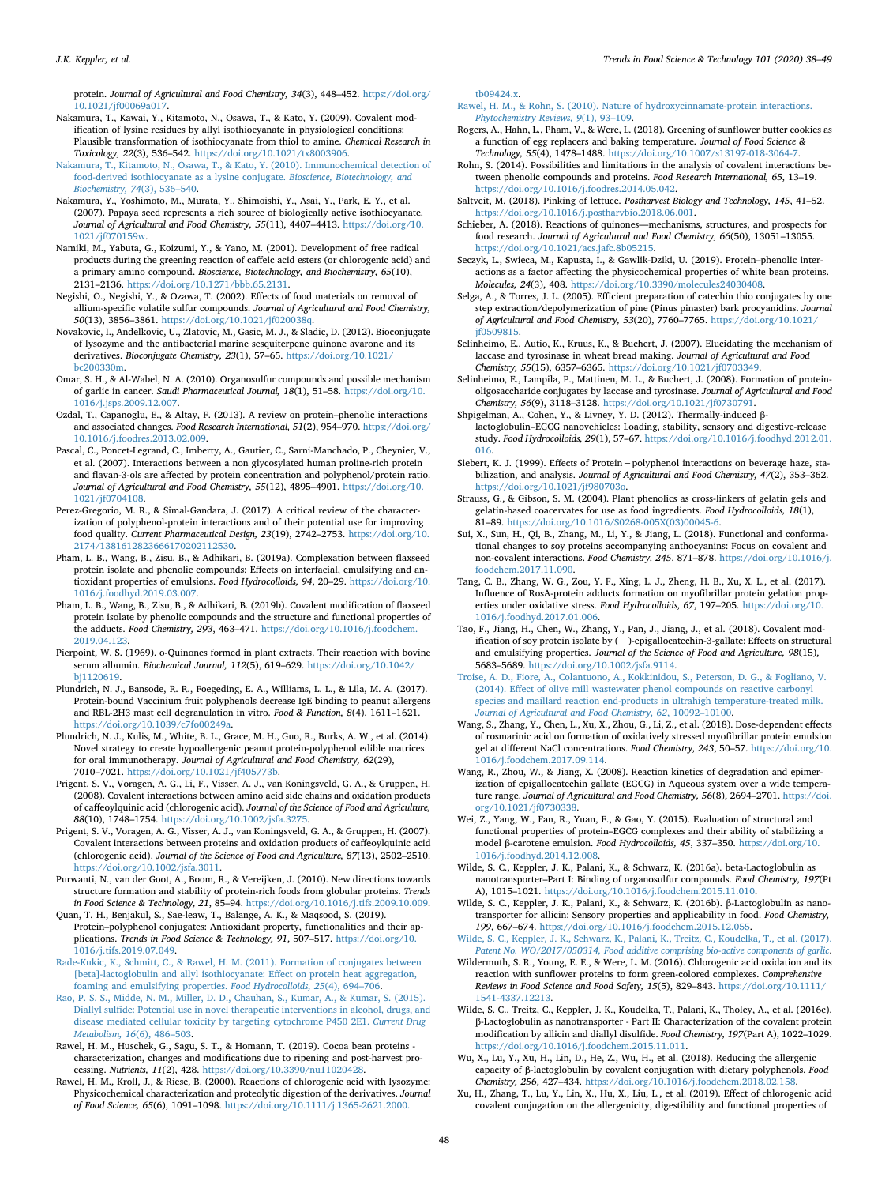protein. *Journal of Agricultural and Food Chemistry, 34*(3), 448–452. [https://doi.org/](https://doi.org/10.1021/jf00069a017) [10.1021/jf00069a017.](https://doi.org/10.1021/jf00069a017)

- <span id="page-10-22"></span>Nakamura, T., Kawai, Y., Kitamoto, N., Osawa, T., & Kato, Y. (2009). Covalent modification of lysine residues by allyl isothiocyanate in physiological conditions: Plausible transformation of isothiocyanate from thiol to amine. *Chemical Research in Toxicology, 22*(3), 536–542. [https://doi.org/10.1021/tx8003906.](https://doi.org/10.1021/tx8003906)
- <span id="page-10-24"></span>[Nakamura, T., Kitamoto, N., Osawa, T., & Kato, Y. \(2010\). Immunochemical detection of](http://refhub.elsevier.com/S0924-2244(20)30452-0/sref57) [food-derived isothiocyanate as a lysine conjugate.](http://refhub.elsevier.com/S0924-2244(20)30452-0/sref57) *Bioscience, Biotechnology, and [Biochemistry, 74](http://refhub.elsevier.com/S0924-2244(20)30452-0/sref57)*(3), 536–540.
- <span id="page-10-21"></span>Nakamura, Y., Yoshimoto, M., Murata, Y., Shimoishi, Y., Asai, Y., Park, E. Y., et al. (2007). Papaya seed represents a rich source of biologically active isothiocyanate. *Journal of Agricultural and Food Chemistry, 55*(11), 4407–4413. [https://doi.org/10.](https://doi.org/10.1021/jf070159w) [1021/jf070159w.](https://doi.org/10.1021/jf070159w)
- <span id="page-10-33"></span>Namiki, M., Yabuta, G., Koizumi, Y., & Yano, M. (2001). Development of free radical products during the greening reaction of caffeic acid esters (or chlorogenic acid) and a primary amino compound. *Bioscience, Biotechnology, and Biochemistry, 65*(10), 2131–2136. [https://doi.org/10.1271/bbb.65.2131.](https://doi.org/10.1271/bbb.65.2131)
- <span id="page-10-19"></span>Negishi, O., Negishi, Y., & Ozawa, T. (2002). Effects of food materials on removal of allium-specific volatile sulfur compounds. *Journal of Agricultural and Food Chemistry, 50*(13), 3856–3861. <https://doi.org/10.1021/jf020038q>.
- <span id="page-10-40"></span>Novakovic, I., Andelkovic, U., Zlatovic, M., Gasic, M. J., & Sladic, D. (2012). Bioconjugate of lysozyme and the antibacterial marine sesquiterpene quinone avarone and its derivatives. *Bioconjugate Chemistry, 23*(1), 57–65. [https://doi.org/10.1021/](https://doi.org/10.1021/bc200330m) [bc200330m](https://doi.org/10.1021/bc200330m).
- <span id="page-10-14"></span>Omar, S. H., & Al-Wabel, N. A. (2010). Organosulfur compounds and possible mechanism of garlic in cancer. *Saudi Pharmaceutical Journal, 18*(1), 51–58. [https://doi.org/10.](https://doi.org/10.1016/j.jsps.2009.12.007) [1016/j.jsps.2009.12.007.](https://doi.org/10.1016/j.jsps.2009.12.007)
- <span id="page-10-5"></span>Ozdal, T., Capanoglu, E., & Altay, F. (2013). A review on protein–phenolic interactions and associated changes. *Food Research International, 51*(2), 954–970. [https://doi.org/](https://doi.org/10.1016/j.foodres.2013.02.009) [10.1016/j.foodres.2013.02.009](https://doi.org/10.1016/j.foodres.2013.02.009).
- <span id="page-10-0"></span>Pascal, C., Poncet-Legrand, C., Imberty, A., Gautier, C., Sarni-Manchado, P., Cheynier, V., et al. (2007). Interactions between a non glycosylated human proline-rich protein and flavan-3-ols are affected by protein concentration and polyphenol/protein ratio. *Journal of Agricultural and Food Chemistry, 55*(12), 4895–4901. [https://doi.org/10.](https://doi.org/10.1021/jf0704108) [1021/jf0704108](https://doi.org/10.1021/jf0704108).
- <span id="page-10-7"></span>Perez-Gregorio, M. R., & Simal-Gandara, J. (2017). A critical review of the characterization of polyphenol-protein interactions and of their potential use for improving food quality. *Current Pharmaceutical Design, 23*(19), 2742–2753. [https://doi.org/10.](https://doi.org/10.2174/1381612823666170202112530) [2174/1381612823666170202112530.](https://doi.org/10.2174/1381612823666170202112530)
- <span id="page-10-16"></span>Pham, L. B., Wang, B., Zisu, B., & Adhikari, B. (2019a). Complexation between flaxseed protein isolate and phenolic compounds: Effects on interfacial, emulsifying and antioxidant properties of emulsions. *Food Hydrocolloids, 94*, 20–29. [https://doi.org/10.](https://doi.org/10.1016/j.foodhyd.2019.03.007) [1016/j.foodhyd.2019.03.007.](https://doi.org/10.1016/j.foodhyd.2019.03.007)
- <span id="page-10-17"></span>Pham, L. B., Wang, B., Zisu, B., & Adhikari, B. (2019b). Covalent modification of flaxseed protein isolate by phenolic compounds and the structure and functional properties of the adducts. *Food Chemistry, 293*, 463–471. [https://doi.org/10.1016/j.foodchem.](https://doi.org/10.1016/j.foodchem.2019.04.123) [2019.04.123](https://doi.org/10.1016/j.foodchem.2019.04.123).
- <span id="page-10-31"></span>Pierpoint, W. S. (1969). o-Quinones formed in plant extracts. Their reaction with bovine serum albumin. *Biochemical Journal, 112*(5), 619–629. [https://doi.org/10.1042/](https://doi.org/10.1042/bj1120619) [bj1120619](https://doi.org/10.1042/bj1120619).
- <span id="page-10-43"></span>Plundrich, N. J., Bansode, R. R., Foegeding, E. A., Williams, L. L., & Lila, M. A. (2017). Protein-bound Vaccinium fruit polyphenols decrease IgE binding to peanut allergens and RBL-2H3 mast cell degranulation in vitro. *Food & Function, 8*(4), 1611–1621. [https://doi.org/10.1039/c7fo00249a.](https://doi.org/10.1039/c7fo00249a)
- <span id="page-10-41"></span>Plundrich, N. J., Kulis, M., White, B. L., Grace, M. H., Guo, R., Burks, A. W., et al. (2014). Novel strategy to create hypoallergenic peanut protein-polyphenol edible matrices for oral immunotherapy. *Journal of Agricultural and Food Chemistry, 62*(29), 7010–7021. <https://doi.org/10.1021/jf405773b>.
- <span id="page-10-11"></span>Prigent, S. V., Voragen, A. G., Li, F., Visser, A. J., van Koningsveld, G. A., & Gruppen, H. (2008). Covalent interactions between amino acid side chains and oxidation products of caffeoylquinic acid (chlorogenic acid). *Journal of the Science of Food and Agriculture, 88*(10), 1748–1754. [https://doi.org/10.1002/jsfa.3275.](https://doi.org/10.1002/jsfa.3275)
- <span id="page-10-10"></span>Prigent, S. V., Voragen, A. G., Visser, A. J., van Koningsveld, G. A., & Gruppen, H. (2007). Covalent interactions between proteins and oxidation products of caffeoylquinic acid (chlorogenic acid). *Journal of the Science of Food and Agriculture, 87*(13), 2502–2510. <https://doi.org/10.1002/jsfa.3011>.
- <span id="page-10-38"></span>Purwanti, N., van der Goot, A., Boom, R., & Vereijken, J. (2010). New directions towards structure formation and stability of protein-rich foods from globular proteins. *Trends in Food Science & Technology, 21*, 85–94. [https://doi.org/10.1016/j.tifs.2009.10.009.](https://doi.org/10.1016/j.tifs.2009.10.009)
- <span id="page-10-6"></span>Quan, T. H., Benjakul, S., Sae-leaw, T., Balange, A. K., & Maqsood, S. (2019). Protein–polyphenol conjugates: Antioxidant property, functionalities and their applications. *Trends in Food Science & Technology, 91*, 507–517. [https://doi.org/10.](https://doi.org/10.1016/j.tifs.2019.07.049) [1016/j.tifs.2019.07.049](https://doi.org/10.1016/j.tifs.2019.07.049).
- <span id="page-10-12"></span>[Rade-Kukic, K., Schmitt, C., & Rawel, H. M. \(2011\). Formation of conjugates between](http://refhub.elsevier.com/S0924-2244(20)30452-0/sref75) [\[beta\]-lactoglobulin and allyl isothiocyanate: Effect on protein heat aggregation,](http://refhub.elsevier.com/S0924-2244(20)30452-0/sref75) [foaming and emulsifying properties.](http://refhub.elsevier.com/S0924-2244(20)30452-0/sref75) *Food Hydrocolloids, 25*(4), 694–706.
- <span id="page-10-48"></span>[Rao, P. S. S., Midde, N. M., Miller, D. D., Chauhan, S., Kumar, A., & Kumar, S. \(2015\).](http://refhub.elsevier.com/S0924-2244(20)30452-0/sref76) [Diallyl sulfide: Potential use in novel therapeutic interventions in alcohol, drugs, and](http://refhub.elsevier.com/S0924-2244(20)30452-0/sref76) [disease mediated cellular toxicity by targeting cytochrome P450 2E1.](http://refhub.elsevier.com/S0924-2244(20)30452-0/sref76) *Current Drug [Metabolism, 16](http://refhub.elsevier.com/S0924-2244(20)30452-0/sref76)*(6), 486–503.
- <span id="page-10-4"></span>Rawel, H. M., Huschek, G., Sagu, S. T., & Homann, T. (2019). Cocoa bean proteins characterization, changes and modifications due to ripening and post-harvest processing. *Nutrients, 11*(2), 428. [https://doi.org/10.3390/nu11020428.](https://doi.org/10.3390/nu11020428)
- <span id="page-10-13"></span>Rawel, H. M., Kroll, J., & Riese, B. (2000). Reactions of chlorogenic acid with lysozyme: Physicochemical characterization and proteolytic digestion of the derivatives. *Journal of Food Science, 65*(6), 1091–1098. [https://doi.org/10.1111/j.1365-2621.2000.](https://doi.org/10.1111/j.1365-2621.2000.tb09424.x)

[tb09424.x](https://doi.org/10.1111/j.1365-2621.2000.tb09424.x).

- <span id="page-10-2"></span>[Rawel, H. M., & Rohn, S. \(2010\). Nature of hydroxycinnamate-protein interactions.](http://refhub.elsevier.com/S0924-2244(20)30452-0/sref79) *[Phytochemistry Reviews, 9](http://refhub.elsevier.com/S0924-2244(20)30452-0/sref79)*(1), 93–109.
- <span id="page-10-36"></span>Rogers, A., Hahn, L., Pham, V., & Were, L. (2018). Greening of sunflower butter cookies as a function of egg replacers and baking temperature. *Journal of Food Science & Technology, 55*(4), 1478–1488. [https://doi.org/10.1007/s13197-018-3064-7.](https://doi.org/10.1007/s13197-018-3064-7)
- <span id="page-10-8"></span>Rohn, S. (2014). Possibilities and limitations in the analysis of covalent interactions between phenolic compounds and proteins. *Food Research International, 65*, 13–19. <https://doi.org/10.1016/j.foodres.2014.05.042>.
- <span id="page-10-35"></span>Saltveit, M. (2018). Pinking of lettuce. *Postharvest Biology and Technology, 145*, 41–52. <https://doi.org/10.1016/j.postharvbio.2018.06.001>.
- <span id="page-10-9"></span>Schieber, A. (2018). Reactions of quinones—mechanisms, structures, and prospects for food research. *Journal of Agricultural and Food Chemistry, 66*(50), 13051–13055. [https://doi.org/10.1021/acs.jafc.8b05215.](https://doi.org/10.1021/acs.jafc.8b05215)
- <span id="page-10-34"></span>Seczyk, L., Swieca, M., Kapusta, I., & Gawlik-Dziki, U. (2019). Protein–phenolic interactions as a factor affecting the physicochemical properties of white bean proteins. *Molecules, 24*(3), 408. <https://doi.org/10.3390/molecules24030408>.
- <span id="page-10-44"></span>Selga, A., & Torres, J. L. (2005). Efficient preparation of catechin thio conjugates by one step extraction/depolymerization of pine (Pinus pinaster) bark procyanidins. *Journal of Agricultural and Food Chemistry, 53*(20), 7760–7765. [https://doi.org/10.1021/](https://doi.org/10.1021/jf0509815) [jf0509815.](https://doi.org/10.1021/jf0509815)
- <span id="page-10-46"></span>Selinheimo, E., Autio, K., Kruus, K., & Buchert, J. (2007). Elucidating the mechanism of laccase and tyrosinase in wheat bread making. *Journal of Agricultural and Food Chemistry, 55*(15), 6357–6365. [https://doi.org/10.1021/jf0703349.](https://doi.org/10.1021/jf0703349)
- <span id="page-10-45"></span>Selinheimo, E., Lampila, P., Mattinen, M. L., & Buchert, J. (2008). Formation of proteinoligosaccharide conjugates by laccase and tyrosinase. *Journal of Agricultural and Food Chemistry, 56*(9), 3118–3128. <https://doi.org/10.1021/jf0730791>.
- <span id="page-10-3"></span>Shpigelman, A., Cohen, Y., & Livney, Y. D. (2012). Thermally-induced βlactoglobulin–EGCG nanovehicles: Loading, stability, sensory and digestive-release study. *Food Hydrocolloids, 29*(1), 57–67. [https://doi.org/10.1016/j.foodhyd.2012.01.](https://doi.org/10.1016/j.foodhyd.2012.01.016) [016](https://doi.org/10.1016/j.foodhyd.2012.01.016).
- <span id="page-10-1"></span>Siebert, K. J. (1999). Effects of Protein−polyphenol interactions on beverage haze, stabilization, and analysis. *Journal of Agricultural and Food Chemistry, 47*(2), 353–362. <https://doi.org/10.1021/jf980703o>.
- <span id="page-10-27"></span>Strauss, G., & Gibson, S. M. (2004). Plant phenolics as cross-linkers of gelatin gels and gelatin-based coacervates for use as food ingredients. *Food Hydrocolloids, 18*(1), 81–89. [https://doi.org/10.1016/S0268-005X\(03\)00045-6.](https://doi.org/10.1016/S0268-005X(03)00045-6)
- <span id="page-10-15"></span>Sui, X., Sun, H., Qi, B., Zhang, M., Li, Y., & Jiang, L. (2018). Functional and conformational changes to soy proteins accompanying anthocyanins: Focus on covalent and non-covalent interactions. *Food Chemistry, 245*, 871–878. [https://doi.org/10.1016/j.](https://doi.org/10.1016/j.foodchem.2017.11.090) [foodchem.2017.11.090](https://doi.org/10.1016/j.foodchem.2017.11.090).
- <span id="page-10-28"></span>Tang, C. B., Zhang, W. G., Zou, Y. F., Xing, L. J., Zheng, H. B., Xu, X. L., et al. (2017). Influence of RosA-protein adducts formation on myofibrillar protein gelation properties under oxidative stress. *Food Hydrocolloids, 67*, 197–205. [https://doi.org/10.](https://doi.org/10.1016/j.foodhyd.2017.01.006) [1016/j.foodhyd.2017.01.006.](https://doi.org/10.1016/j.foodhyd.2017.01.006)
- <span id="page-10-30"></span>Tao, F., Jiang, H., Chen, W., Zhang, Y., Pan, J., Jiang, J., et al. (2018). Covalent modification of soy protein isolate by (−)-epigallocatechin-3-gallate: Effects on structural and emulsifying properties. *Journal of the Science of Food and Agriculture, 98*(15), 5683–5689. <https://doi.org/10.1002/jsfa.9114>.
- <span id="page-10-39"></span>[Troise, A. D., Fiore, A., Colantuono, A., Kokkinidou, S., Peterson, D. G., & Fogliano, V.](http://refhub.elsevier.com/S0924-2244(20)30452-0/sref94) [\(2014\). Effect of olive mill wastewater phenol compounds on reactive carbonyl](http://refhub.elsevier.com/S0924-2244(20)30452-0/sref94) [species and maillard reaction end-products in ultrahigh temperature-treated milk.](http://refhub.elsevier.com/S0924-2244(20)30452-0/sref94) *[Journal of Agricultural and Food Chemistry, 62](http://refhub.elsevier.com/S0924-2244(20)30452-0/sref94)*, 10092–10100.
- <span id="page-10-29"></span>Wang, S., Zhang, Y., Chen, L., Xu, X., Zhou, G., Li, Z., et al. (2018). Dose-dependent effects of rosmarinic acid on formation of oxidatively stressed myofibrillar protein emulsion gel at different NaCl concentrations. *Food Chemistry, 243*, 50–57. [https://doi.org/10.](https://doi.org/10.1016/j.foodchem.2017.09.114) [1016/j.foodchem.2017.09.114](https://doi.org/10.1016/j.foodchem.2017.09.114).
- <span id="page-10-47"></span>Wang, R., Zhou, W., & Jiang, X. (2008). Reaction kinetics of degradation and epimerization of epigallocatechin gallate (EGCG) in Aqueous system over a wide temperature range. *Journal of Agricultural and Food Chemistry, 56*(8), 2694–2701. [https://doi.](https://doi.org/10.1021/jf0730338) [org/10.1021/jf0730338.](https://doi.org/10.1021/jf0730338)
- <span id="page-10-25"></span>Wei, Z., Yang, W., Fan, R., Yuan, F., & Gao, Y. (2015). Evaluation of structural and functional properties of protein–EGCG complexes and their ability of stabilizing a model β-carotene emulsion. *Food Hydrocolloids, 45*, 337–350. [https://doi.org/10.](https://doi.org/10.1016/j.foodhyd.2014.12.008) [1016/j.foodhyd.2014.12.008.](https://doi.org/10.1016/j.foodhyd.2014.12.008)
- <span id="page-10-18"></span>Wilde, S. C., Keppler, J. K., Palani, K., & Schwarz, K. (2016a). beta-Lactoglobulin as nanotransporter–Part I: Binding of organosulfur compounds. *Food Chemistry, 197*(Pt A), 1015–1021. [https://doi.org/10.1016/j.foodchem.2015.11.010.](https://doi.org/10.1016/j.foodchem.2015.11.010)
- <span id="page-10-37"></span>Wilde, S. C., Keppler, J. K., Palani, K., & Schwarz, K. (2016b). β-Lactoglobulin as nanotransporter for allicin: Sensory properties and applicability in food. *Food Chemistry, 199*, 667–674. [https://doi.org/10.1016/j.foodchem.2015.12.055.](https://doi.org/10.1016/j.foodchem.2015.12.055)
- <span id="page-10-26"></span>[Wilde, S. C., Keppler, J. K., Schwarz, K., Palani, K., Treitz, C., Koudelka, T., et al. \(2017\).](http://refhub.elsevier.com/S0924-2244(20)30452-0/sref100) *[Patent No. WO/2017/050314, Food additive comprising bio-active components of garlic](http://refhub.elsevier.com/S0924-2244(20)30452-0/sref100)*.
- <span id="page-10-32"></span>Wildermuth, S. R., Young, E. E., & Were, L. M. (2016). Chlorogenic acid oxidation and its reaction with sunflower proteins to form green-colored complexes. *Comprehensive Reviews in Food Science and Food Safety, 15*(5), 829–843. [https://doi.org/10.1111/](https://doi.org/10.1111/1541-4337.12213) [1541-4337.12213](https://doi.org/10.1111/1541-4337.12213).
- <span id="page-10-20"></span>Wilde, S. C., Treitz, C., Keppler, J. K., Koudelka, T., Palani, K., Tholey, A., et al. (2016c). β-Lactoglobulin as nanotransporter - Part II: Characterization of the covalent protein modification by allicin and diallyl disulfide. *Food Chemistry, 197*(Part A), 1022–1029. <https://doi.org/10.1016/j.foodchem.2015.11.011>.
- <span id="page-10-42"></span>Wu, X., Lu, Y., Xu, H., Lin, D., He, Z., Wu, H., et al. (2018). Reducing the allergenic capacity of β-lactoglobulin by covalent conjugation with dietary polyphenols. *Food Chemistry, 256*, 427–434. <https://doi.org/10.1016/j.foodchem.2018.02.158>.
- <span id="page-10-23"></span>Xu, H., Zhang, T., Lu, Y., Lin, X., Hu, X., Liu, L., et al. (2019). Effect of chlorogenic acid covalent conjugation on the allergenicity, digestibility and functional properties of